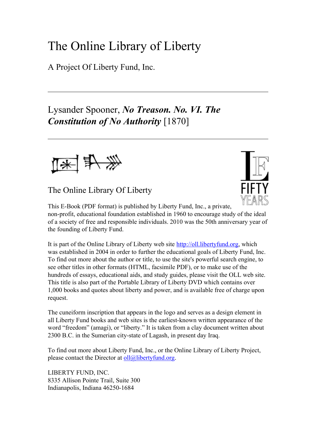# The Online Library of Liberty

A Project Of Liberty Fund, Inc.

# Lysander Spooner, *No Treason. No. VI. The Constitution of No Authority* [1870]



The Online Library Of Liberty



This E-Book (PDF format) is published by Liberty Fund, Inc., a private, non-profit, educational foundation established in 1960 to encourage study of the ideal of a society of free and responsible individuals. 2010 was the 50th anniversary year of the founding of Liberty Fund.

It is part of the Online Library of Liberty web site [http://oll.libertyfund.org,](http://oll.libertyfund.org) which was established in 2004 in order to further the educational goals of Liberty Fund, Inc. To find out more about the author or title, to use the site's powerful search engine, to see other titles in other formats (HTML, facsimile PDF), or to make use of the hundreds of essays, educational aids, and study guides, please visit the OLL web site. This title is also part of the Portable Library of Liberty DVD which contains over 1,000 books and quotes about liberty and power, and is available free of charge upon request.

The cuneiform inscription that appears in the logo and serves as a design element in all Liberty Fund books and web sites is the earliest-known written appearance of the word "freedom" (amagi), or "liberty." It is taken from a clay document written about 2300 B.C. in the Sumerian city-state of Lagash, in present day Iraq.

To find out more about Liberty Fund, Inc., or the Online Library of Liberty Project, please contact the Director at  $oll@libertvfund.org.$ 

LIBERTY FUND, INC. 8335 Allison Pointe Trail, Suite 300 Indianapolis, Indiana 46250-1684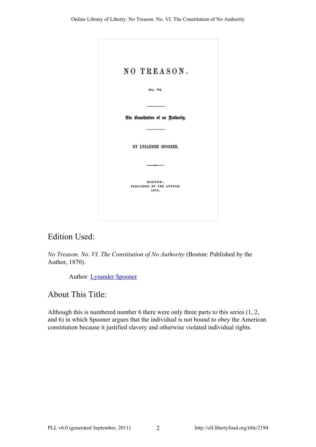| NO TREASON.                       |
|-----------------------------------|
| No. VI.                           |
|                                   |
| The Constitution of no Juthority. |
|                                   |
| BY LYSANDER SPOONER.              |
|                                   |
| BOSTON:                           |
| PUBLISHED BY THE AUTHOR.<br>1870. |
|                                   |
|                                   |

# Edition Used:

*No Treason. No. VI. The Constitution of No Authority* (Boston: Published by the Author, 1870).

Author: [Lysander Spooner](http://oll.libertyfund.org/person/4664)

# About This Title:

Although this is numbered number 6 there were only three parts to this series (1, 2, and 6) in which Spooner argues that the individual is not bound to obey the American constitution because it justified slavery and otherwise violated individual rights.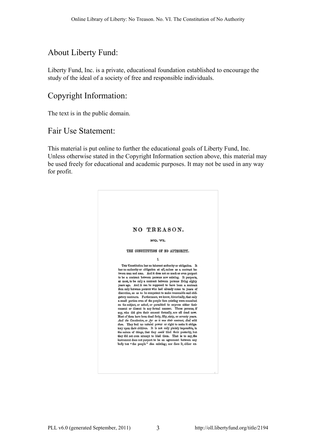# About Liberty Fund:

Liberty Fund, Inc. is a private, educational foundation established to encourage the study of the ideal of a society of free and responsible individuals.

# Copyright Information:

The text is in the public domain.

# Fair Use Statement:

This material is put online to further the educational goals of Liberty Fund, Inc. Unless otherwise stated in the Copyright Information section above, this material may be used freely for educational and academic purposes. It may not be used in any way for profit.

| NO TREASON.                                                                                                                        |
|------------------------------------------------------------------------------------------------------------------------------------|
| NO. VI.                                                                                                                            |
|                                                                                                                                    |
| THE CONSTITUTION OF NO AUTHORITY.                                                                                                  |
| I.                                                                                                                                 |
| THE Constitution has no inherent authority or obligation. It                                                                       |
| has no authority or obligation at all, unless as a contract be-                                                                    |
| tween man and man. And it does not so much as even purport                                                                         |
| to be a contract between persons now existing. It purports,<br>at most, to be only a contract between persons living eighty        |
| years ago. And it can be supposed to have been a contract                                                                          |
| then only between persons who had already come to years of<br>discretion, so as to be competent to make reasonable and obli-       |
| gatory contracts. Furthermore, we know, historically, that only                                                                    |
| a small pertion even of the people then cristing were consulted.<br>on the subject, or asked, or permitted to express either their |
| consent or dissent in any formal manner. Those persons if                                                                          |
| any, who did give their consent formally, are all dead now.<br>Most of them have been dead forty, fifty, sixty, or screpty years.  |
| And the Constitution, so far as it was their contract, died with                                                                   |
| them. They had no natural power or right to make it obliga-                                                                        |
| tory upon their children. It is not only plainly impossible, in<br>the nature of things, that they could bind their posterity, but |
| they did not even attempt to bind them. That is to say, the                                                                        |
| instrument does not purport to be an agreement between any<br>body but "the people" then existing; nor does it, either ex-         |
|                                                                                                                                    |
|                                                                                                                                    |
|                                                                                                                                    |
|                                                                                                                                    |
|                                                                                                                                    |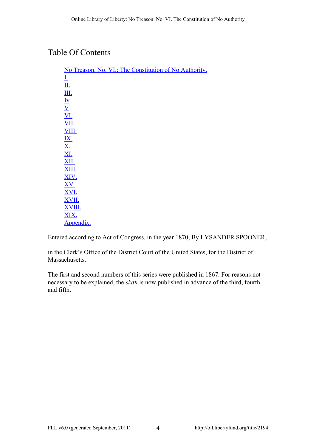# Table Of Contents

| No Treason. No. VI.: The Constitution of No Authority. |
|--------------------------------------------------------|
| <u>I.</u>                                              |
| <u>Щ.</u>                                              |
| $\underline{\text{III.}}$                              |
| $\underline{\mathbf{I}}\underline{\mathbf{v}}$         |
| $\underline{V}$                                        |
| <b>VI.</b>                                             |
| <b>VII.</b>                                            |
| VIII.                                                  |
| $\frac{\underline{IX.}}{\underline{X.}}$               |
|                                                        |
|                                                        |
| <b>XII.</b>                                            |
| XIII.                                                  |
| XIV.                                                   |
| XV.                                                    |
| XVI.                                                   |
| XVII.                                                  |
| XVIII.                                                 |
| XIX.                                                   |
| Appendix.                                              |

Entered according to Act of Congress, in the year 1870, By LYSANDER SPOONER,

in the Clerk's Office of the District Court of the United States, for the District of Massachusetts.

The first and second numbers of this series were published in 1867. For reasons not necessary to be explained, the *sixth* is now published in advance of the third, fourth and fifth.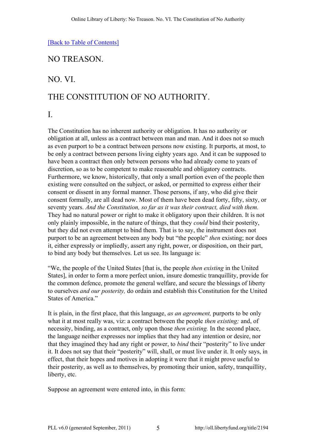# <span id="page-4-0"></span>NO TREASON.

# NO. VI.

# THE CONSTITUTION OF NO AUTHORITY.

I.

The Constitution has no inherent authority or obligation. It has no authority or obligation at all, unless as a contract between man and man. And it does not so much as even purport to be a contract between persons now existing. It purports, at most, to be only a contract between persons living eighty years ago. And it can be supposed to have been a contract then only between persons who had already come to years of discretion, so as to be competent to make reasonable and obligatory contracts. Furthermore, we know, historically, that only a small portion even of the people then existing were consulted on the subject, or asked, or permitted to express either their consent or dissent in any formal manner. Those persons, if any, who did give their consent formally, are all dead now. Most of them have been dead forty, fifty, sixty, or seventy years. *And the Constitution, so far as it was their contract, died with them.* They had no natural power or right to make it obligatory upon their children. It is not only plainly impossible, in the nature of things, that they *could* bind their posterity, but they did not even attempt to bind them. That is to say, the instrument does not purport to be an agreement between any body but "the people" *then* existing; nor does it, either expressly or impliedly, assert any right, power, or disposition, on their part, to bind any body but themselves. Let us see. Its language is:

"We, the people of the United States [that is, the people *then existing* in the United States], in order to form a more perfect union, insure domestic tranquillity, provide for the common defence, promote the general welfare, and secure the blessings of liberty to ourselves *and our posterity,* do ordain and establish this Constitution for the United States of America."

It is plain, in the first place, that this language, *as an agreement,* purports to be only what it at most really was, viz: a contract between the people *then existing;* and, of necessity, binding, as a contract, only upon those *then existing.* In the second place, the language neither expresses nor implies that they had any intention or desire, nor that they imagined they had any right or power, to *bind* their "posterity" to live under it. It does not say that their "posterity" will, shall, or must live under it. It only says, in effect, that their hopes and motives in adopting it were that it might prove useful to their posterity, as well as to themselves, by promoting their union, safety, tranquillity, liberty, etc.

Suppose an agreement were entered into, in this form: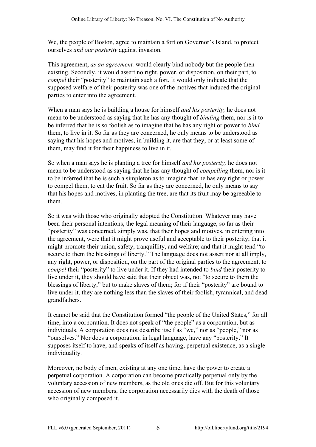We, the people of Boston, agree to maintain a fort on Governor's Island, to protect ourselves *and our posterity* against invasion.

This agreement, *as an agreement,* would clearly bind nobody but the people then existing. Secondly, it would assert no right, power, or disposition, on their part, to *compel* their "posterity" to maintain such a fort. It would only indicate that the supposed welfare of their posterity was one of the motives that induced the original parties to enter into the agreement.

When a man says he is building a house for himself *and his posterity,* he does not mean to be understood as saying that he has any thought of *binding* them, nor is it to be inferred that he is so foolish as to imagine that he has any right or power to *bind* them, to live in it. So far as they are concerned, he only means to be understood as saying that his hopes and motives, in building it, are that they, or at least some of them, may find it for their happiness to live in it.

So when a man says he is planting a tree for himself *and his posterity,* he does not mean to be understood as saying that he has any thought of *compelling* them, nor is it to be inferred that he is such a simpleton as to imagine that he has any right or power to compel them, to eat the fruit. So far as they are concerned, he only means to say that his hopes and motives, in planting the tree, are that its fruit may be agreeable to them.

So it was with those who originally adopted the Constitution. Whatever may have been their personal intentions, the legal meaning of their language, so far as their "posterity" was concerned, simply was, that their hopes and motives, in entering into the agreement, were that it might prove useful and acceptable to their posterity; that it might promote their union, safety, tranquillity, and welfare; and that it might tend "to secure to them the blessings of liberty." The language does not assert nor at all imply, any right, power, or disposition, on the part of the original parties to the agreement, to *compel* their "posterity" to live under it. If they had intended to *bind* their posterity to live under it, they should have said that their object was, not "to secure to them the blessings of liberty," but to make slaves of them; for if their "posterity" are bound to live under it, they are nothing less than the slaves of their foolish, tyrannical, and dead grandfathers.

It cannot be said that the Constitution formed "the people of the United States," for all time, into a corporation. It does not speak of "the people" as a corporation, but as individuals. A corporation does not describe itself as "we," nor as "people," nor as "ourselves." Nor does a corporation, in legal language, have any "posterity." It supposes itself to have, and speaks of itself as having, perpetual existence, as a single individuality.

Moreover, no body of men, existing at any one time, have the power to create a perpetual corporation. A corporation can become practically perpetual only by the voluntary accession of new members, as the old ones die off. But for this voluntary accession of new members, the corporation necessarily dies with the death of those who originally composed it.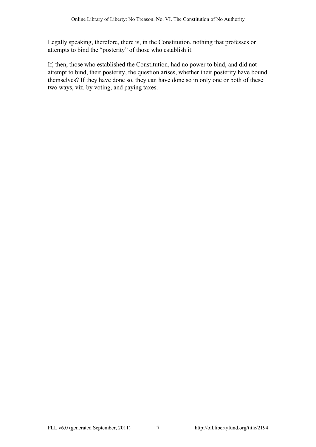Legally speaking, therefore, there is, in the Constitution, nothing that professes or attempts to bind the "posterity" of those who establish it.

If, then, those who established the Constitution, had no power to bind, and did not attempt to bind, their posterity, the question arises, whether their posterity have bound themselves? If they have done so, they can have done so in only one or both of these two ways, viz. by voting, and paying taxes.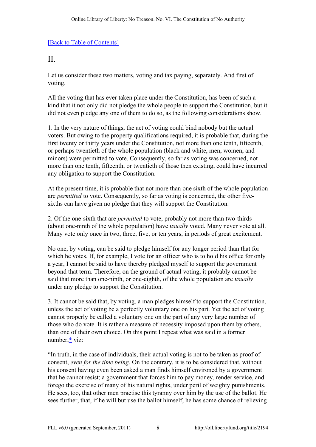### <span id="page-7-0"></span> $II$ .

Let us consider these two matters, voting and tax paying, separately. And first of voting.

All the voting that has ever taken place under the Constitution, has been of such a kind that it not only did not pledge the whole people to support the Constitution, but it did not even pledge any one of them to do so, as the following considerations show.

1. In the very nature of things, the act of voting could bind nobody but the actual voters. But owing to the property qualifications required, it is probable that, during the first twenty or thirty years under the Constitution, not more than one tenth, fifteenth, or perhaps twentieth of the whole population (black and white, men, women, and minors) were permitted to vote. Consequently, so far as voting was concerned, not more than one tenth, fifteenth, or twentieth of those then existing, could have incurred any obligation to support the Constitution.

At the present time, it is probable that not more than one sixth of the whole population are *permitted* to vote. Consequently, so far as voting is concerned, the other fivesixths can have given no pledge that they will support the Constitution.

2. Of the one-sixth that are *permitted* to vote, probably not more than two-thirds (about one-ninth of the whole population) have *usually* voted. Many never vote at all. Many vote only once in two, three, five, or ten years, in periods of great excitement.

No one, by voting, can be said to pledge himself for any longer period than that for which he votes. If, for example, I vote for an officer who is to hold his office for only a year, I cannot be said to have thereby pledged myself to support the government beyond that term. Therefore, on the ground of actual voting, it probably cannot be said that more than one-ninth, or one-eighth, of the whole population are *usually* under any pledge to support the Constitution.

3. It cannot be said that, by voting, a man pledges himself to support the Constitution, unless the act of voting be a perfectly voluntary one on his part. Yet the act of voting cannot properly be called a voluntary one on the part of any very large number of those who do vote. It is rather a measure of necessity imposed upon them by others, than one of their own choice. On this point I repeat what was said in a former number,[\\*](#page-45-1) viz:

<span id="page-7-1"></span>"In truth, in the case of individuals, their actual voting is not to be taken as proof of consent, *even for the time being.* On the contrary, it is to be considered that, without his consent having even been asked a man finds himself environed by a government that he cannot resist; a government that forces him to pay money, render service, and forego the exercise of many of his natural rights, under peril of weighty punishments. He sees, too, that other men practise this tyranny over him by the use of the ballot. He sees further, that, if he will but use the ballot himself, he has some chance of relieving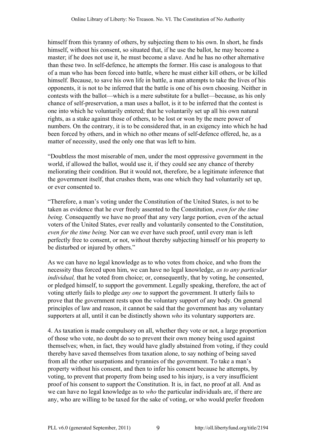himself from this tyranny of others, by subjecting them to his own. In short, he finds himself, without his consent, so situated that, if he use the ballot, he may become a master; if he does not use it, he must become a slave. And he has no other alternative than these two. In self-defence, he attempts the former. His case is analogous to that of a man who has been forced into battle, where he must either kill others, or be killed himself. Because, to save his own life in battle, a man attempts to take the lives of his opponents, it is not to be inferred that the battle is one of his own choosing. Neither in contests with the ballot—which is a mere substitute for a bullet—because, as his only chance of self-preservation, a man uses a ballot, is it to be inferred that the contest is one into which he voluntarily entered; that he voluntarily set up all his own natural rights, as a stake against those of others, to be lost or won by the mere power of numbers. On the contrary, it is to be considered that, in an exigency into which he had been forced by others, and in which no other means of self-defence offered, he, as a matter of necessity, used the only one that was left to him.

"Doubtless the most miserable of men, under the most oppressive government in the world, if allowed the ballot, would use it, if they could see any chance of thereby meliorating their condition. But it would not, therefore, be a legitimate inference that the government itself, that crushes them, was one which they had voluntarily set up, or ever consented to.

"Therefore, a man's voting under the Constitution of the United States, is not to be taken as evidence that he ever freely assented to the Constitution, *even for the time being.* Consequently we have no proof that any very large portion, even of the actual voters of the United States, ever really and voluntarily consented to the Constitution, *even for the time being.* Nor can we ever have such proof, until every man is left perfectly free to consent, or not, without thereby subjecting himself or his property to be disturbed or injured by others."

As we can have no legal knowledge as to who votes from choice, and who from the necessity thus forced upon him, we can have no legal knowledge, *as to any particular individual*, that he voted from choice; or, consequently, that by voting, he consented, or pledged himself, to support the government. Legally speaking, therefore, the act of voting utterly fails to pledge *any one* to support the government. It utterly fails to prove that the government rests upon the voluntary support of any body. On general principles of law and reason, it cannot be said that the government has any voluntary supporters at all, until it can be distinctly shown *who* its voluntary supporters are.

4. As taxation is made compulsory on all, whether they vote or not, a large proportion of those who vote, no doubt do so to prevent their own money being used against themselves; when, in fact, they would have gladly abstained from voting, if they could thereby have saved themselves from taxation alone, to say nothing of being saved from all the other usurpations and tyrannies of the government. To take a man's property without his consent, and then to infer his consent because he attempts, by voting, to prevent that property from being used to his injury, is a very insufficient proof of his consent to support the Constitution. It is, in fact, no proof at all. And as we can have no legal knowledge as to *who* the particular individuals are, if there are any, who are willing to be taxed for the sake of voting, or who would prefer freedom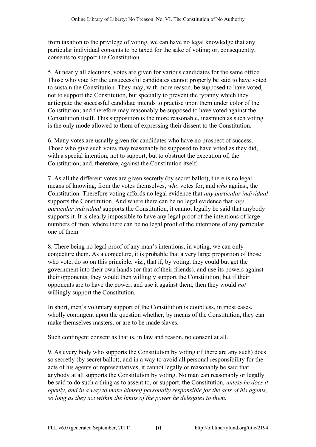from taxation to the privilege of voting, we can have no legal knowledge that any particular individual consents to be taxed for the sake of voting; or, consequently, consents to support the Constitution.

5. At nearly all elections, votes are given for various candidates for the same office. Those who vote for the unsuccessful candidates cannot properly be said to have voted to sustain the Constitution. They may, with more reason, be supposed to have voted, not to support the Constitution, but specially to prevent the tyranny which they anticipate the successful candidate intends to practise upon them under color of the Constitution; and therefore may reasonably be supposed to have voted against the Constitution itself. This supposition is the more reasonable, inasmuch as such voting is the only mode allowed to them of expressing their dissent to the Constitution.

6. Many votes are usually given for candidates who have no prospect of success. Those who give such votes may reasonably be supposed to have voted as they did, with a special intention, not to support, but to obstruct the execution of, the Constitution; and, therefore, against the Constitution itself.

7. As all the different votes are given secretly (by secret ballot), there is no legal means of knowing, from the votes themselves, *who* votes for, and *who* against, the Constitution. Therefore voting affords no legal evidence that *any particular individual* supports the Constitution. And where there can be no legal evidence that *any particular individual* supports the Constitution, it cannot legally be said that anybody supports it. It is clearly impossible to have any legal proof of the intentions of large numbers of men, where there can be no legal proof of the intentions of any particular one of them.

8. There being no legal proof of any man's intentions, in voting, we can only conjecture them. As a conjecture, it is probable that a very large proportion of those who vote, do so on this principle, viz., that if, by voting, they could but get the government into their own hands (or that of their friends), and use its powers against their opponents, they would then willingly support the Constitution; but if their opponents are to have the power, and use it against them, then they would *not* willingly support the Constitution.

In short, men's voluntary support of the Constitution is doubtless, in most cases, wholly contingent upon the question whether, by means of the Constitution, they can make themselves masters, or are to be made slaves.

Such contingent consent as that is, in law and reason, no consent at all.

9. As every body who supports the Constitution by voting (if there are any such) does so secretly (by secret ballot), and in a way to avoid all personal responsibility for the acts of his agents or representatives, it cannot legally or reasonably be said that anybody at all supports the Constitution by voting. No man can reasonably or legally be said to do such a thing as to assent to, or support, the Constitution, *unless he does it openly, and in a way to make himself personally responsible for the acts of his agents, so long as they act within the limits of the power he delegates to them.*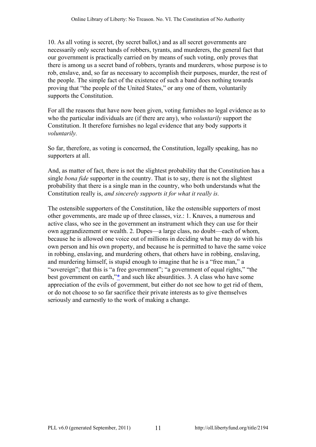10. As all voting is secret, (by secret ballot,) and as all secret governments are necessarily only secret bands of robbers, tyrants, and murderers, the general fact that our government is practically carried on by means of such voting, only proves that there is among us a secret band of robbers, tyrants and murderers, whose purpose is to rob, enslave, and, so far as necessary to accomplish their purposes, murder, the rest of the people. The simple fact of the existence of such a band does nothing towards proving that "the people of the United States," or any one of them, voluntarily supports the Constitution.

For all the reasons that have now been given, voting furnishes no legal evidence as to who the particular individuals are (if there are any), who *voluntarily* support the Constitution. It therefore furnishes no legal evidence that any body supports it *voluntarily.*

So far, therefore, as voting is concerned, the Constitution, legally speaking, has no supporters at all.

And, as matter of fact, there is not the slightest probability that the Constitution has a single *bona fide* supporter in the country. That is to say, there is not the slightest probability that there is a single man in the country, who both understands what the Constitution really is, *and sincerely supports it for what it really is.*

<span id="page-10-0"></span>The ostensible supporters of the Constitution, like the ostensible supporters of most other governments, are made up of three classes, viz.: 1. Knaves, a numerous and active class, who see in the government an instrument which they can use for their own aggrandizement or wealth. 2. Dupes—a large class, no doubt—each of whom, because he is allowed one voice out of millions in deciding what he may do with his own person and his own property, and because he is permitted to have the same voice in robbing, enslaving, and murdering others, that others have in robbing, enslaving, and murdering himself, is stupid enough to imagine that he is a "free man," a "sovereign"; that this is "a free government"; "a government of equal rights," "the best government on earth,"[\\*](#page-45-2) and such like absurdities. 3. A class who have some appreciation of the evils of government, but either do not see how to get rid of them, or do not choose to so far sacrifice their private interests as to give themselves seriously and earnestly to the work of making a change.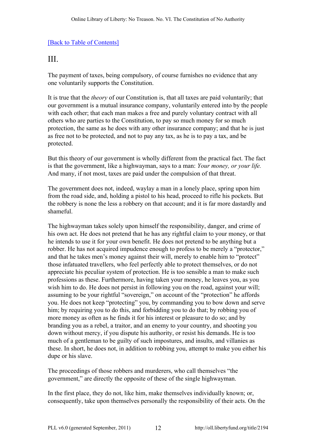# <span id="page-11-0"></span>III.

The payment of taxes, being compulsory, of course furnishes no evidence that any one voluntarily supports the Constitution.

It is true that the *theory* of our Constitution is, that all taxes are paid voluntarily; that our government is a mutual insurance company, voluntarily entered into by the people with each other; that each man makes a free and purely voluntary contract with all others who are parties to the Constitution, to pay so much money for so much protection, the same as he does with any other insurance company; and that he is just as free not to be protected, and not to pay any tax, as he is to pay a tax, and be protected.

But this theory of our government is wholly different from the practical fact. The fact is that the government, like a highwayman, says to a man: *Your money, or your life.* And many, if not most, taxes are paid under the compulsion of that threat.

The government does not, indeed, waylay a man in a lonely place, spring upon him from the road side, and, holding a pistol to his head, proceed to rifle his pockets. But the robbery is none the less a robbery on that account; and it is far more dastardly and shameful.

The highwayman takes solely upon himself the responsibility, danger, and crime of his own act. He does not pretend that he has any rightful claim to your money, or that he intends to use it for your own benefit. He does not pretend to be anything but a robber. He has not acquired impudence enough to profess to be merely a "protector," and that he takes men's money against their will, merely to enable him to "protect" those infatuated travellers, who feel perfectly able to protect themselves, or do not appreciate his peculiar system of protection. He is too sensible a man to make such professions as these. Furthermore, having taken your money, he leaves you, as you wish him to do. He does not persist in following you on the road, against your will; assuming to be your rightful "sovereign," on account of the "protection" he affords you. He does not keep "protecting" you, by commanding you to bow down and serve him; by requiring you to do this, and forbidding you to do that; by robbing you of more money as often as he finds it for his interest or pleasure to do so; and by branding you as a rebel, a traitor, and an enemy to your country, and shooting you down without mercy, if you dispute his authority, or resist his demands. He is too much of a gentleman to be guilty of such impostures, and insults, and villanies as these. In short, he does not, in addition to robbing you, attempt to make you either his dupe or his slave.

The proceedings of those robbers and murderers, who call themselves "the government," are directly the opposite of these of the single highwayman.

In the first place, they do not, like him, make themselves individually known; or, consequently, take upon themselves personally the responsibility of their acts. On the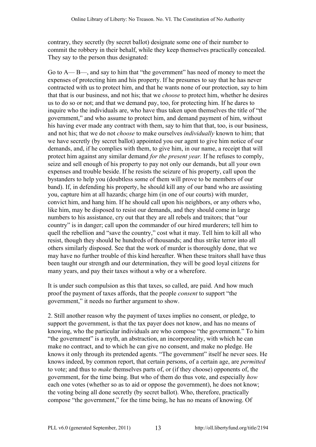contrary, they secretly (by secret ballot) designate some one of their number to commit the robbery in their behalf, while they keep themselves practically concealed. They say to the person thus designated:

Go to A— B—, and say to him that "the government" has need of money to meet the expenses of protecting him and his property. If he presumes to say that he has never contracted with us to protect him, and that he wants none of our protection, say to him that that is our business, and not his; that we *choose* to protect him, whether he desires us to do so or not; and that we demand pay, too, for protecting him. If he dares to inquire who the individuals are, who have thus taken upon themselves the title of "the government," and who assume to protect him, and demand payment of him, without his having ever made any contract with them, say to him that that, too, is our business, and not his; that we do not *choose* to make ourselves *individually* known to him; that we have secretly (by secret ballot) appointed you our agent to give him notice of our demands, and, if he complies with them, to give him, in our name, a receipt that will protect him against any similar demand *for the present year.* If he refuses to comply, seize and sell enough of his property to pay not only our demands, but all your own expenses and trouble beside. If he resists the seizure of his property, call upon the bystanders to help you (doubtless some of them will prove to be members of our band). If, in defending his property, he should kill any of our band who are assisting you, capture him at all hazards; charge him (in one of our courts) with murder, convict him, and hang him. If he should call upon his neighbors, or any others who, like him, may be disposed to resist our demands, and they should come in large numbers to his assistance, cry out that they are all rebels and traitors; that "our country" is in danger; call upon the commander of our hired murderers; tell him to quell the rebellion and "save the country," cost what it may. Tell him to kill all who resist, though they should be hundreds of thousands; and thus strike terror into all others similarly disposed. See that the work of murder is thoroughly done, that we may have no further trouble of this kind hereafter. When these traitors shall have thus been taught our strength and our determination, they will be good loyal citizens for many years, and pay their taxes without a why or a wherefore.

It is under such compulsion as this that taxes, so called, are paid. And how much proof the payment of taxes affords, that the people *consent* to support "the government," it needs no further argument to show.

2. Still another reason why the payment of taxes implies no consent, or pledge, to support the government, is that the tax payer does not know, and has no means of knowing, who the particular individuals are who compose "the government." To him "the government" is a myth, an abstraction, an incorporeality, with which he can make no contract, and to which he can give no consent, and make no pledge. He knows it only through its pretended agents. "The government" itself he never sees. He knows indeed, by common report, that certain persons, of a certain age, are *permitted* to vote; and thus to *make* themselves parts of, or (if they choose) opponents of, the government, for the time being. But who of them do thus vote, and especially *how* each one votes (whether so as to aid or oppose the government), he does not know; the voting being all done secretly (by secret ballot). Who, therefore, practically compose "the government," for the time being, he has no means of knowing. Of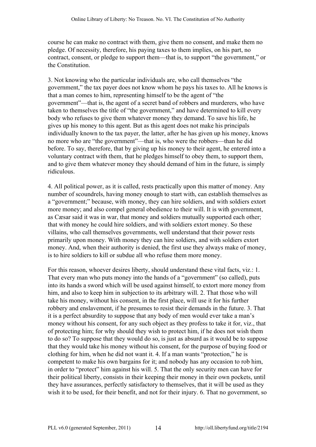course he can make no contract with them, give them no consent, and make them no pledge. Of necessity, therefore, his paying taxes to them implies, on his part, no contract, consent, or pledge to support them—that is, to support "the government," or the Constitution.

3. Not knowing who the particular individuals are, who call themselves "the government," the tax payer does not know whom he pays his taxes to. All he knows is that a man comes to him, representing himself to be the agent of "the government"—that is, the agent of a secret band of robbers and murderers, who have taken to themselves the title of "the government," and have determined to kill every body who refuses to give them whatever money they demand. To save his life, he gives up his money to this agent. But as this agent does not make his principals individually known to the tax payer, the latter, after he has given up his money, knows no more who are "the government"—that is, who were the robbers—than he did before. To say, therefore, that by giving up his money to their agent, he entered into a voluntary contract with them, that he pledges himself to obey them, to support them, and to give them whatever money they should demand of him in the future, is simply ridiculous.

4. All political power, as it is called, rests practically upon this matter of money. Any number of scoundrels, having money enough to start with, can establish themselves as a "government;" because, with money, they can hire soldiers, and with soldiers extort more money; and also compel general obedience to their will. It is with government, as Cæsar said it was in war, that money and soldiers mutually supported each other; that with money he could hire soldiers, and with soldiers extort money. So these villains, who call themselves governments, well understand that their power rests primarily upon money. With money they can hire soldiers, and with soldiers extort money. And, when their authority is denied, the first use they always make of money, is to hire soldiers to kill or subdue all who refuse them more money.

For this reason, whoever desires liberty, should understand these vital facts, viz.: 1. That every man who puts money into the hands of a "government" (so called), puts into its hands a sword which will be used against himself, to extort more money from him, and also to keep him in subjection to its arbitrary will. 2. That those who will take his money, without his consent, in the first place, will use it for his further robbery and enslavement, if he presumes to resist their demands in the future. 3. That it is a perfect absurdity to suppose that any body of men would ever take a man's money without his consent, for any such object as they profess to take it for, viz., that of protecting him; for why should they wish to protect him, if he does not wish them to do so? To suppose that they would do so, is just as absurd as it would be to suppose that they would take his money without his consent, for the purpose of buying food or clothing for him, when he did not want it. 4. If a man wants "protection," he is competent to make his own bargains for it; and nobody has any occasion to rob him, in order to "protect" him against his will. 5. That the only security men can have for their political liberty, consists in their keeping their money in their own pockets, until they have assurances, perfectly satisfactory to themselves, that it will be used as they wish it to be used, for their benefit, and not for their injury. 6. That no government, so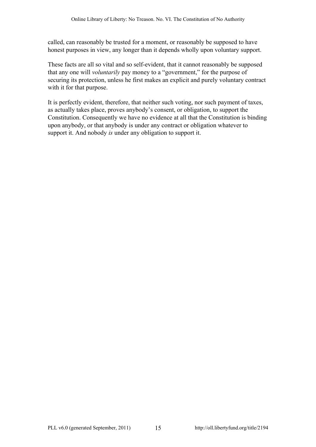called, can reasonably be trusted for a moment, or reasonably be supposed to have honest purposes in view, any longer than it depends wholly upon voluntary support.

These facts are all so vital and so self-evident, that it cannot reasonably be supposed that any one will *voluntarily* pay money to a "government," for the purpose of securing its protection, unless he first makes an explicit and purely voluntary contract with it for that purpose.

It is perfectly evident, therefore, that neither such voting, nor such payment of taxes, as actually takes place, proves anybody's consent, or obligation, to support the Constitution. Consequently we have no evidence at all that the Constitution is binding upon anybody, or that anybody is under any contract or obligation whatever to support it. And nobody *is* under any obligation to support it.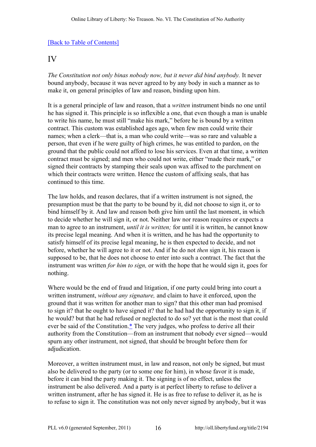### <span id="page-15-0"></span>IV

*The Constitution not only binas nobody now, but it never did bind anybody.* It never bound anybody, because it was never agreed to by any body in such a manner as to make it, on general principles of law and reason, binding upon him.

It is a general principle of law and reason, that a *written* instrument binds no one until he has signed it. This principle is so inflexible a one, that even though a man is unable to write his name, he must still "make his mark," before he is bound by a written contract. This custom was established ages ago, when few men could write their names; when a clerk—that is, a man who could write—was so rare and valuable a person, that even if he were guilty of high crimes, he was entitled to pardon, on the ground that the public could not afford to lose his services. Even at that time, a written contract must be signed; and men who could not write, either "made their mark," or signed their contracts by stamping their seals upon wax affixed to the parchment on which their contracts were written. Hence the custom of affixing seals, that has continued to this time.

The law holds, and reason declares, that if a written instrument is not signed, the presumption must be that the party to be bound by it, did not choose to sign it, or to bind himself by it. And law and reason both give him until the last moment, in which to decide whether he will sign it, or not. Neither law nor reason requires or expects a man to agree to an instrument, *until it is written;* for until it is written, he cannot know its precise legal meaning. And when it is written, and he has had the opportunity to satisfy himself of its precise legal meaning, he is then expected to decide, and not before, whether he will agree to it or not. And if he do not *then* sign it, his reason is supposed to be, that he does not choose to enter into such a contract. The fact that the instrument was written *for him to sign,* or with the hope that he would sign it, goes for nothing.

<span id="page-15-1"></span>Where would be the end of fraud and litigation, if one party could bring into court a written instrument, *without any signature,* and claim to have it enforced, upon the ground that it was written for another man to sign? that this other man had promised to sign it? that he ought to have signed it? that he had had the opportunity to sign it, if he would? but that he had refused or neglected to do so? yet that is the most that could ever be said of the Constitution. $*$  The very judges, who profess to derive all their authority from the Constitution—from an instrument that nobody ever signed—would spurn any other instrument, not signed, that should be brought before them for adjudication.

Moreover, a written instrument must, in law and reason, not only be signed, but must also be delivered to the party (or to some one for him), in whose favor it is made, before it can bind the party making it. The signing is of no effect, unless the instrument be also delivered. And a party is at perfect liberty to refuse to deliver a written instrument, after he has signed it. He is as free to refuse to deliver it, as he is to refuse to sign it. The constitution was not only never signed by anybody, but it was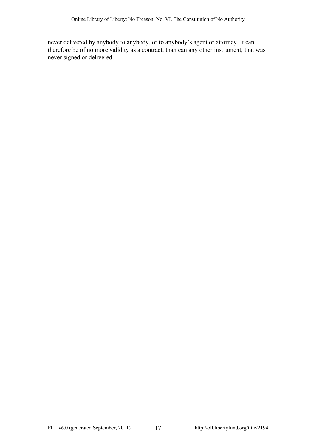never delivered by anybody to anybody, or to anybody's agent or attorney. It can therefore be of no more validity as a contract, than can any other instrument, that was never signed or delivered.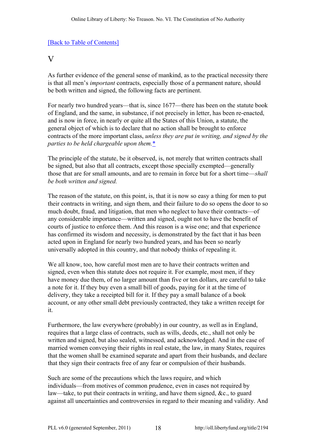#### <span id="page-17-0"></span>V

As further evidence of the general sense of mankind, as to the practical necessity there is that all men's *important* contracts, especially those of a permanent nature, should be both written and signed, the following facts are pertinent.

For nearly two hundred years—that is, since 1677—there has been on the statute book of England, and the same, in substance, if not precisely in letter, has been re-enacted, and is now in force, in nearly or quite all the States of this Union, a statute, the general object of which is to declare that no action shall be brought to enforce contracts of the more important class, *unless they are put in writing, and signed by the parties to be held chargeable upon them.*[\\*](#page-45-4)

<span id="page-17-1"></span>The principle of the statute, be it observed, is, not merely that written contracts shall be signed, but also that all contracts, except those specially exempted—generally those that are for small amounts, and are to remain in force but for a short time—*shall be both written and signed.*

The reason of the statute, on this point, is, that it is now so easy a thing for men to put their contracts in writing, and sign them, and their failure to do so opens the door to so much doubt, fraud, and litigation, that men who neglect to have their contracts—of any considerable importance—written and signed, ought not to have the benefit of courts of justice to enforce them. And this reason is a wise one; and that experience has confirmed its wisdom and necessity, is demonstrated by the fact that it has been acted upon in England for nearly two hundred years, and has been so nearly universally adopted in this country, and that nobody thinks of repealing it.

We all know, too, how careful most men are to have their contracts written and signed, even when this statute does not require it. For example, most men, if they have money due them, of no larger amount than five or ten dollars, are careful to take a note for it. If they buy even a small bill of goods, paying for it at the time of delivery, they take a receipted bill for it. If they pay a small balance of a book account, or any other small debt previously contracted, they take a written receipt for it.

Furthermore, the law everywhere (probably) in our country, as well as in England, requires that a large class of contracts, such as wills, deeds, etc., shall not only be written and signed, but also sealed, witnessed, and acknowledged. And in the case of married women conveying their rights in real estate, the law, in many States, requires that the women shall be examined separate and apart from their husbands, and declare that they sign their contracts free of any fear or compulsion of their husbands.

Such are some of the precautions which the laws require, and which individuals—from motives of common prudence, even in cases not required by law—take, to put their contracts in writing, and have them signed, &c., to guard against all uncertainties and controversies in regard to their meaning and validity. And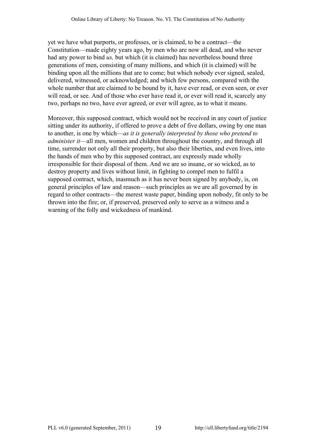yet we have what purports, or professes, or is claimed, to be a contract—the Constitution—made eighty years ago, by men who are now all dead, and who never had any power to bind *us,* but which (it is claimed) has nevertheless bound three generations of men, consisting of many millions, and which (it is claimed) will be binding upon all the millions that are to come; but which nobody ever signed, sealed, delivered, witnessed, or acknowledged; and which few persons, compared with the whole number that are claimed to be bound by it, have ever read, or even seen, or ever will read, or see. And of those who ever have read it, or ever will read it, scarcely any two, perhaps no two, have ever agreed, or ever will agree, as to what it means.

Moreover, this supposed contract, which would not be received in any court of justice sitting under its authority, if offered to prove a debt of five dollars, owing by one man to another, is one by which—*as it is generally interpreted by those who pretend to administer it*—all men, women and children throughout the country, and through all time, surrender not only all their property, but also their liberties, and even lives, into the hands of men who by this supposed contract, are expressly made wholly irresponsible for their disposal of them. And we are so insane, or so wicked, as to destroy property and lives without limit, in fighting to compel men to fulfil a supposed contract, which, inasmuch as it has never been signed by anybody, is, on general principles of law and reason—such principles as we are all governed by in regard to other contracts—the merest waste paper, binding upon nobody, fit only to be thrown into the fire; or, if preserved, preserved only to serve as a witness and a warning of the folly and wickedness of mankind.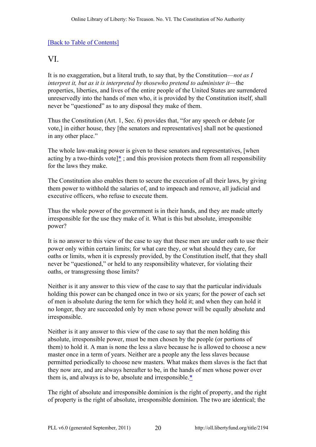# <span id="page-19-0"></span>VI.

It is no exaggeration, but a literal truth, to say that, by the Constitution—*not as I interpret it, but as it is interpreted by thosewho pretend to administer it—the* properties, liberties, and lives of the entire people of the United States are surrendered unreservedly into the hands of men who, it is provided by the Constitution itself, shall never be "questioned" as to any disposal they make of them.

Thus the Constitution (Art. 1, Sec. 6) provides that, "for any speech or debate [or vote,] in either house, they [the senators and representatives] shall not be questioned in any other place."

<span id="page-19-1"></span>The whole law-making power is given to these senators and representatives, [when acting by a two-thirds vote] $*$ ; and this provision protects them from all responsibility for the laws they make.

The Constitution also enables them to secure the execution of all their laws, by giving them power to withhold the salaries of, and to impeach and remove, all judicial and executive officers, who refuse to execute them.

Thus the whole power of the government is in their hands, and they are made utterly irresponsible for the use they make of it. What is this but absolute, irresponsible power?

It is no answer to this view of the case to say that these men are under oath to use their power only within certain limits; for what care they, or what should they care, for oaths or limits, when it is expressly provided, by the Constitution itself, that they shall never be "questioned," or held to any responsibility whatever, for violating their oaths, or transgressing those limits?

Neither is it any answer to this view of the case to say that the particular individuals holding this power can be changed once in two or six years; for the power of each set of men is absolute during the term for which they hold it; and when they can hold it no longer, they are succeeded only by men whose power will be equally absolute and irresponsible.

Neither is it any answer to this view of the case to say that the men holding this absolute, irresponsible power, must be men chosen by the people (or portions of them) to hold it. A man is none the less a slave because he is allowed to choose a new master once in a term of years. Neither are a people any the less slaves because permitted periodically to choose new masters. What makes them slaves is the fact that they now are, and are always hereafter to be, in the hands of men whose power over them is, and always is to be, absolute and irresponsible. $*$ 

<span id="page-19-2"></span>The right of absolute and irresponsible dominion is the right of property, and the right of property is the right of absolute, irresponsible dominion. The two are identical; the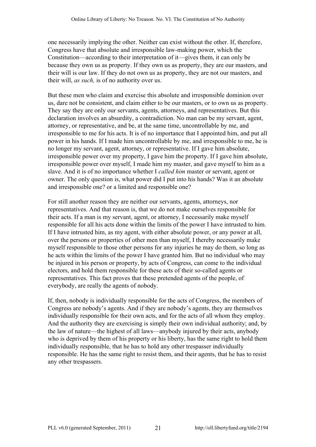one necessarily implying the other. Neither can exist without the other. If, therefore, Congress have that absolute and irresponsible law-making power, which the Constitution—according to their interpretation of it—gives them, it can only be because they own us as property. If they own us as property, they are our masters, and their will is our law. If they do not own us as property, they are not our masters, and their will, *as such,* is of no authority over us.

But these men who claim and exercise this absolute and irresponsible dominion over us, dare not be consistent, and claim either to be our masters, or to own us as property. They say they are only our servants, agents, attorneys, and representatives. But this declaration involves an absurdity, a contradiction. No man can be my servant, agent, attorney, or representative, and be, at the same time, uncontrollable by me, and irresponsible to me for his acts. It is of no importance that I appointed him, and put all power in his hands. If I made him uncontrollable by me, and irresponsible to me, he is no longer my servant, agent, attorney, or representative. If I gave him absolute, irresponsible power over my property, I gave him the property. If I gave him absolute, irresponsible power over myself, I made him my master, and gave myself to him as a slave. And it is of no importance whether I *called him* master or servant, agent or owner. The only question is, what power did I put into his hands? Was it an absolute and irresponsible one? or a limited and responsible one?

For still another reason they are neither our servants, agents, attorneys, nor representatives. And that reason is, that we do not make ourselves responsible for their acts. If a man is my servant, agent, or attorney, I necessarily make myself responsible for all his acts done within the limits of the power I have intrusted to him. If I have intrusted him, as my agent, with either absolute power, or any power at all, over the persons or properties of other men than myself, I thereby necessarily make myself responsible to those other persons for any injuries he may do them, so long as he acts within the limits of the power I have granted him. But no individual who may be injured in his person or property, by acts of Congress, can come to the individual electors, and hold them responsible for these acts of their so-called agents or representatives. This fact proves that these pretended agents of the people, of everybody, are really the agents of nobody.

If, then, nobody is individually responsible for the acts of Congress, the members of Congress are nobody's agents. And if they are nobody's agents, they are themselves individually responsible for their own acts, and for the acts of all whom they employ. And the authority they are exercising is simply their own individual authority; and, by the law of nature—the highest of all laws—anybody injured by their acts, anybody who is deprived by them of his property or his liberty, has the same right to hold them individually responsible, that he has to hold any other trespasser individually responsible. He has the same right to resist them, and their agents, that he has to resist any other trespassers.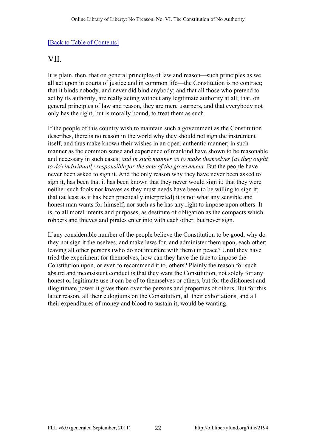# <span id="page-21-0"></span>VII.

It is plain, then, that on general principles of law and reason—such principles as we all act upon in courts of justice and in common life—the Constitution is no contract; that it binds nobody, and never did bind anybody; and that all those who pretend to act by its authority, are really acting without any legitimate authority at all; that, on general principles of law and reason, they are mere usurpers, and that everybody not only has the right, but is morally bound, to treat them as such.

If the people of this country wish to maintain such a government as the Constitution describes, there is no reason in the world why they should not sign the instrument itself, and thus make known their wishes in an open, authentic manner; in such manner as the common sense and experience of mankind have shown to be reasonable and necessary in such cases; *and in such manner as to make themselves* (*as they ought to do*) *individually responsible for the acts of the government.* But the people have never been asked to sign it. And the only reason why they have never been asked to sign it, has been that it has been known that they never would sign it; that they were neither such fools nor knaves as they must needs have been to be willing to sign it; that (at least as it has been practically interpreted) it is not what any sensible and honest man wants for himself; nor such as he has any right to impose upon others. It is, to all moral intents and purposes, as destitute of obligation as the compacts which robbers and thieves and pirates enter into with each other, but never sign.

If any considerable number of the people believe the Constitution to be good, why do they not sign it themselves, and make laws for, and administer them upon, each other; leaving all other persons (who do not interfere with them) in peace? Until they have tried the experiment for themselves, how can they have the face to impose the Constitution upon, or even to recommend it to, others? Plainly the reason for such absurd and inconsistent conduct is that they want the Constitution, not solely for any honest or legitimate use it can be of to themselves or others, but for the dishonest and illegitimate power it gives them over the persons and properties of others. But for this latter reason, all their eulogiums on the Constitution, all their exhortations, and all their expenditures of money and blood to sustain it, would be wanting.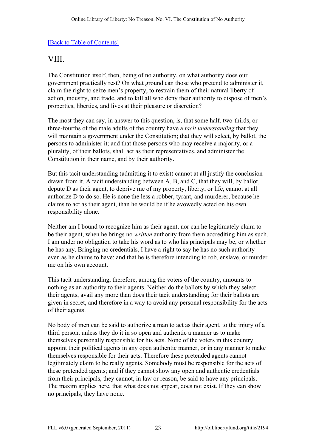# <span id="page-22-0"></span>VIII.

The Constitution itself, then, being of no authority, on what authority does our government practically rest? On what ground can those who pretend to administer it, claim the right to seize men's property, to restrain them of their natural liberty of action, industry, and trade, and to kill all who deny their authority to dispose of men's properties, liberties, and lives at their pleasure or discretion?

The most they can say, in answer to this question, is, that some half, two-thirds, or three-fourths of the male adults of the country have a *tacit understanding* that they will maintain a government under the Constitution; that they will select, by ballot, the persons to administer it; and that those persons who may receive a majority, or a plurality, of their ballots, shall act as their representatives, and administer the Constitution in their name, and by their authority.

But this tacit understanding (admitting it to exist) cannot at all justify the conclusion drawn from it. A tacit understanding between A, B, and C, that they will, by ballot, depute D as their agent, to deprive me of my property, liberty, or life, cannot at all authorize D to do so. He is none the less a robber, tyrant, and murderer, because he claims to act as their agent, than he would be if he avowedly acted on his own responsibility alone.

Neither am I bound to recognize him as their agent, nor can he legitimately claim to be their agent, when he brings no *written* authority from them accrediting him as such. I am under no obligation to take his word as to who his principals may be, or whether he has any. Bringing no credentials, I have a right to say he has no such authority even as he claims to have: and that he is therefore intending to rob, enslave, or murder me on his own account.

This tacit understanding, therefore, among the voters of the country, amounts to nothing as an authority to their agents. Neither do the ballots by which they select their agents, avail any more than does their tacit understanding; for their ballots are given in secret, and therefore in a way to avoid any personal responsibility for the acts of their agents.

No body of men can be said to authorize a man to act as their agent, to the injury of a third person, unless they do it in so open and authentic a manner as to make themselves personally responsible for his acts. None of the voters in this country appoint their political agents in any open authentic manner, or in any manner to make themselves responsible for their acts. Therefore these pretended agents cannot legitimately claim to be really agents. Somebody must be responsible for the acts of these pretended agents; and if they cannot show any open and authentic credentials from their principals, they cannot, in law or reason, be said to have any principals. The maxim applies here, that what does not appear, does not exist. If they can show no principals, they have none.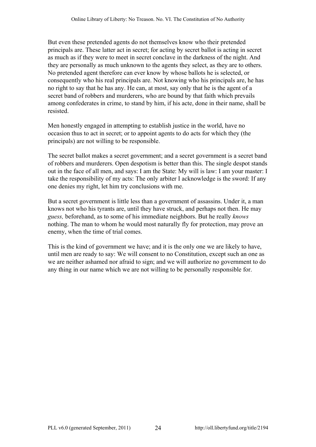But even these pretended agents do not themselves know who their pretended principals are. These latter act in secret; for acting by secret ballot is acting in secret as much as if they were to meet in secret conclave in the darkness of the night. And they are personally as much unknown to the agents they select, as they are to others. No pretended agent therefore can ever know by whose ballots he is selected, or consequently who his real principals are. Not knowing who his principals are, he has no right to say that he has any. He can, at most, say only that he is the agent of a secret band of robbers and murderers, who are bound by that faith which prevails among confederates in crime, to stand by him, if his acte, done in their name, shall be resisted.

Men honestly engaged in attempting to establish justice in the world, have no occasion thus to act in secret; or to appoint agents to do acts for which they (the principals) are not willing to be responsible.

The secret ballot makes a secret government; and a secret government is a secret band of robbers and murderers. Open despotism is better than this. The single despot stands out in the face of all men, and says: I am the State: My will is law: I am your master: I take the responsibility of my acts: The only arbiter I acknowledge is the sword: If any one denies my right, let him try conclusions with me.

But a secret government is little less than a government of assassins. Under it, a man knows not who his tyrants are, until they have struck, and perhaps not then. He may *guess,* beforehand, as to some of his immediate neighbors. But he really *knows* nothing. The man to whom he would most naturally fly for protection, may prove an enemy, when the time of trial comes.

This is the kind of government we have; and it is the only one we are likely to have, until men are ready to say: We will consent to no Constitution, except such an one as we are neither ashamed nor afraid to sign; and we will authorize no government to do any thing in our name which we are not willing to be personally responsible for.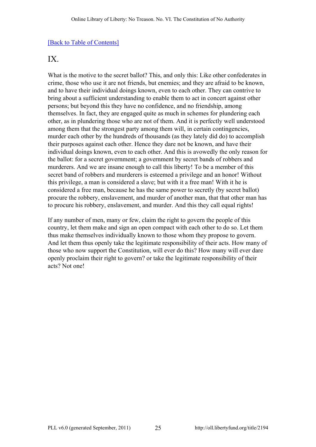### <span id="page-24-0"></span>IX.

What is the motive to the secret ballot? This, and only this: Like other confederates in crime, those who use it are not friends, but enemies; and they are afraid to be known, and to have their individual doings known, even to each other. They can contrive to bring about a sufficient understanding to enable them to act in concert against other persons; but beyond this they have no confidence, and no friendship, among themselves. In fact, they are engaged quite as much in schemes for plundering each other, as in plundering those who are not of them. And it is perfectly well understood among them that the strongest party among them will, in certain contingencies, murder each other by the hundreds of thousands (as they lately did do) to accomplish their purposes against each other. Hence they dare not be known, and have their individual doings known, even to each other. And this is avowedly the only reason for the ballot: for a secret government; a government by secret bands of robbers and murderers. And we are insane enough to call this liberty! To be a member of this secret band of robbers and murderers is esteemed a privilege and an honor! Without this privilege, a man is considered a slave; but with it a free man! With it he is considered a free man, because he has the same power to secretly (by secret ballot) procure the robbery, enslavement, and murder of another man, that that other man has to procure his robbery, enslavement, and murder. And this they call equal rights!

If any number of men, many or few, claim the right to govern the people of this country, let them make and sign an open compact with each other to do so. Let them thus make themselves individually known to those whom they propose to govern. And let them thus openly take the legitimate responsibility of their acts. How many of those who now support the Constitution, will ever do this? How many will ever dare openly proclaim their right to govern? or take the legitimate responsibility of their acts? Not one!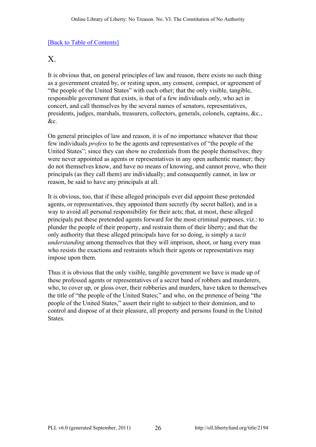### <span id="page-25-0"></span>X.

It is obvious that, on general principles of law and reason, there exists no such thing as a government created by, or resting upon, any consent, compact, or agreement of "the people of the United States" with each other; that the only visible, tangible, responsible government that exists, is that of a few individuals only, who act in concert, and call themselves by the several names of senators, representatives, presidents, judges, marshals, treasurers, collectors, generals, colonels, captains, &c., &c.

On general principles of law and reason, it is of no importance whatever that these few individuals *profess* to be the agents and representatives of "the people of the United States"; since they can show no credentials from the people themselves; they were never appointed as agents or representatives in any open authentic manner; they do not themselves know, and have no means of knowing, and cannot prove, who their principals (as they call them) are individually; and consequently cannot, in law or reason, be said to have any principals at all.

It is obvious, too, that if these alleged principals ever did appoint these pretended agents, or representatives, they appointed them secretly (by secret ballot), and in a way to avoid all personal responsibility for their acts; that, at most, these alleged principals put these pretended agents forward for the most criminal purposes, viz.: to plunder the people of their property, and restrain them of their liberty; and that the only authority that these alleged principals have for so doing, is simply a *tacit understanding* among themselves that they will imprison, shoot, or hang every man who resists the exactions and restraints which their agents or representatives may impose upon them.

Thus it is obvious that the only visible, tangible government we have is made up of these professed agents or representatives of a secret band of robbers and murderers, who, to cover up, or gloss over, their robberies and murders, have taken to themselves the title of "the people of the United States;" and who, on the pretence of being "the people of the United States," assert their right to subject to their dominion, and to control and dispose of at their pleasure, all property and persons found in the United States.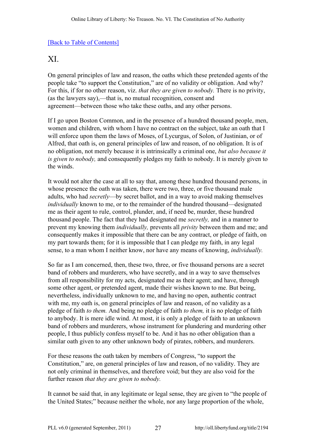# <span id="page-26-0"></span>XI.

On general principles of law and reason, the oaths which these pretended agents of the people take "to support the Constitution," are of no validity or obligation. And why? For this, if for no other reason, viz. *that they are given to nobody.* There is no privity, (as the lawyers say),—that is, no mutual recognition, consent and agreement—between those who take these oaths, and any other persons.

If I go upon Boston Common, and in the presence of a hundred thousand people, men, women and children, with whom I have no contract on the subject, take an oath that I will enforce upon them the laws of Moses, of Lycurgus, of Solon, of Justinian, or of Alfred, that oath is, on general principles of law and reason, of no obligation. It is of no obligation, not merely because it is intrinsically a criminal one, *but also because it is given to nobody,* and consequently pledges my faith to nobody. It is merely given to the winds.

It would not alter the case at all to say that, among these hundred thousand persons, in whose presence the oath was taken, there were two, three, or five thousand male adults, who had *secretly*—by secret ballot, and in a way to avoid making themselves *individually* known to me, or to the remainder of the hundred thousand—designated me as their agent to rule, control, plunder, and, if need be, murder, these hundred thousand people. The fact that they had designated me *secretly,* and in a manner to prevent my knowing them *individually,* prevents all *privity* between them and me; and consequently makes it impossible that there can be any contract, or pledge of faith, on my part towards them; for it is impossible that I can pledge my faith, in any legal sense, to a man whom I neither know, nor have any means of knowing, *individually.*

So far as I am concerned, then, these two, three, or five thousand persons are a secret band of robbers and murderers, who have secretly, and in a way to save themselves from all responsibility for my acts, designated me as their agent; and have, through some other agent, or pretended agent, made their wishes known to me. But being, nevertheless, individually unknown to me, and having no open, authentic contract with me, my oath is, on general principles of law and reason, of no validity as a pledge of faith *to them.* And being no pledge of faith *to them,* it is no pledge of faith to anybody. It is mere idle wind. At most, it is only a pledge of faith to an unknown band of robbers and murderers, whose instrument for plundering and murdering other people, I thus publicly confess myself to be. And it has no other obligation than a similar oath given to any other unknown body of pirates, robbers, and murderers.

For these reasons the oath taken by members of Congress, "to support the Constitution," are, on general principles of law and reason, of no validity. They are not only criminal in themselves, and therefore void; but they are also void for the further reason *that they are given to nobody.*

It cannot be said that, in any legitimate or legal sense, they are given to "the people of the United States;" because neither the whole, nor any large proportion of the whole,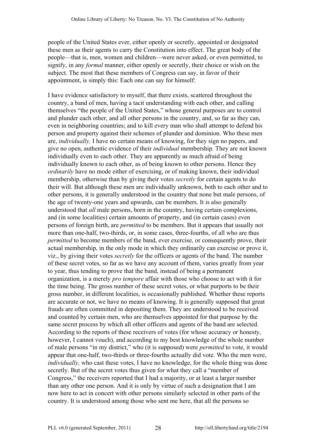people of the United States ever, either openly or secretly, appointed or designated these men as their agents to carry the Constitution into effect. The great body of the people—that is, men, women and children—were never asked, or even permitted, to signify, in any *formal* manner, either openly or secretly, their choice or wish on the subject. The most that these members of Congress can say, in favor of their appointment, is simply this: Each one can say for himself:

I have evidence satisfactory to myself, that there exists, scattered throughout the country, a band of men, having a tacit understanding with each other, and calling themselves "the people of the United States," whose general purposes are to control and plunder each other, and all other persons in the country, and, so far as they can, even in neighboring countries; and to kill every man who shall attempt to defend his person and property against their schemes of plunder and dominion. Who these men are, *individually,* I have no certain means of knowing, for they sign no papers, and give no open, authentic evidence of their *individual* membership. They are not known individually even to each other. They are apparently as much afraid of being individually known to each other, as of being known to other persons. Hence they *ordinarily* have no mode either of exercising, or of making known, their individual membership, otherwise than by giving their votes *secretly* for certain agents to do their will. But although these men are individually unknown, both to each other and to other persons, it is generally understood in the country that none but male persons, of the age of twenty-one years and upwards, can be members. It is also generally understood that *all* male persons, born in the country, having certain complexions, and (in some localities) certain amounts of property, and (in certain cases) even persons of foreign birth, are *permitted* to be members. But it appears that usually not more than one-half, two-thirds, or, in some cases, three-fourths, of all who are thus *permitted* to become members of the band, ever exercise, or consequently prove, their actual membership, in the only mode in which they ordinarily can exercise or prove it, viz., by giving their votes *secretly* for the officers or agents of the band. The number of these secret votes, so far as we have any account of them, varies greatly from year to year, thus tending to prove that the band, instead of being a permanent organization, is a merely *pro tempore* affair with those who choose to act with it for the time being. The gross number of these secret votes, or what purports to be their gross number, in different localities, is occasionally published. Whether these reports are accurate or not, we have no means of knowing. It is generally supposed that great frauds are often committed in depositing them. They are understood to be received and counted by certain men, who are themselves appointed for that purpose by the same secret process by which all other officers and agents of the band are selected. According to the reports of these receivers of votes (for whose accuracy or honesty, however, I cannot vouch), and according to my best knowledge of the whole number of male persons "in my district," who (it is supposed) were *permitted* to vote, it would appear that one-half, two-thirds or three-fourths actually did vote. Who the men were, *individually*, who cast these votes, I have no knowledge, for the whole thing was done secretly. But of the secret votes thus given for what they call a "member of Congress," the receivers reported that I had a majority, or at least a larger number than any other one person. And it is only by virtue of such a designation that I am now here to act in concert with other persons similarly selected in other parts of the country. It is understood among those who sent me here, that all the persons so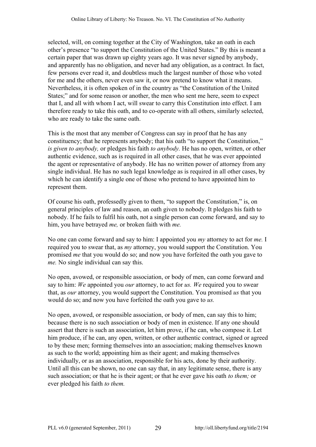selected, will, on coming together at the City of Washington, take an oath in each other's presence "to support the Constitution of the United States." By this is meant a certain paper that was drawn up eighty years ago. It was never signed by anybody, and apparently has no obligation, and never had any obligation, as a contract. In fact, few persons ever read it, and doubtless much the largest number of those who voted for me and the others, never even saw it, or now pretend to know what it means. Nevertheless, it is often spoken of in the country as "the Constitution of the United States;" and for some reason or another, the men who sent me here, seem to expect that I, and all with whom I act, will swear to carry this Constitution into effect. I am therefore ready to take this oath, and to co-operate with all others, similarly selected, who are ready to take the same oath.

This is the most that any member of Congress can say in proof that he has any constituency; that he represents anybody; that his oath "to support the Constitution," *is given to anybody,* or pledges his faith *to anybody.* He has no open, written, or other authentic evidence, such as is required in all other cases, that he was ever appointed the agent or representative of anybody. He has no written power of attorney from any single individual. He has no such legal knowledge as is required in all other cases, by which he can identify a single one of those who pretend to have appointed him to represent them.

Of course his oath, professedly given to them, "to support the Constitution," is, on general principles of law and reason, an oath given to nobody. It pledges his faith to nobody. If he fails to fulfil his oath, not a single person can come forward, and say to him, you have betrayed *me,* or broken faith with *me.*

No one can come forward and say to him: I appointed you *my* attorney to act for *me.* I required you to swear that, as *my* attorney, you would support the Constitution. You promised *me* that you would do so; and now you have forfeited the oath you gave to *me.* No single individual can say this.

No open, avowed, or responsible association, or body of men, can come forward and say to him: *We* appointed you *our* attorney, to act for *us. We* required you to swear that, as *our* attorney, you would support the Constitution. You promised *us* that you would do so; and now you have forfeited the oath you gave to *us.*

No open, avowed, or responsible association, or body of men, can say this to him; because there is no such association or body of men in existence. If any one should assert that there is such an association, let him prove, if he can, who compose it. Let him produce, if he can, any open, written, or other authentic contract, signed or agreed to by these men; forming themselves into an association; making themselves known as such to the world; appointing him as their agent; and making themselves individually, or as an association, responsible for his acts, done by their authority. Until all this can be shown, no one can say that, in any legitimate sense, there is any such association; or that he is their agent; or that he ever gave his oath *to them;* or ever pledged his faith *to them.*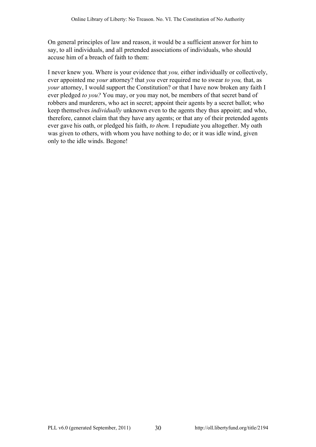On general principles of law and reason, it would be a sufficient answer for him to say, to all individuals, and all pretended associations of individuals, who should accuse him of a breach of faith to them:

I never knew you. Where is your evidence that *you,* either individually or collectively, ever appointed me *your* attorney? that *you* ever required me to swear *to you,* that, as *your* attorney, I would support the Constitution? or that I have now broken any faith I ever pledged *to you?* You may, or you may not, be members of that secret band of robbers and murderers, who act in secret; appoint their agents by a secret ballot; who keep themselves *individually* unknown even to the agents they thus appoint; and who, therefore, cannot claim that they have any agents; or that any of their pretended agents ever gave his oath, or pledged his faith, *to them.* I repudiate you altogether. My oath was given to others, with whom you have nothing to do; or it was idle wind, given only to the idle winds. Begone!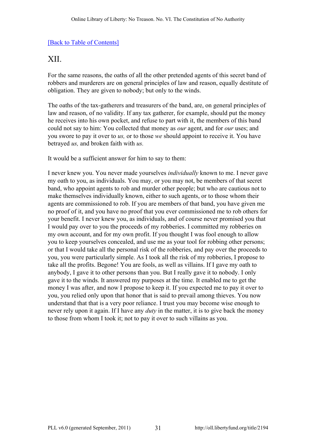# <span id="page-30-0"></span>XII.

For the same reasons, the oaths of all the other pretended agents of this secret band of robbers and murderers are on general principles of law and reason, equally destitute of obligation. They are given to nobody; but only to the winds.

The oaths of the tax-gatherers and treasurers of the band, are, on general principles of law and reason, of no validity. If any tax gatherer, for example, should put the money he receives into his own pocket, and refuse to part with it, the members of this band could not say to him: You collected that money as *our* agent, and for *our* uses; and you swore to pay it over to *us,* or to those *we* should appoint to receive it. You have betrayed *us,* and broken faith with *us.*

It would be a sufficient answer for him to say to them:

I never knew you. You never made yourselves *individually* known to me. I never gave my oath to you, as individuals. You may, or you may not, be members of that secret band, who appoint agents to rob and murder other people; but who are cautious not to make themselves individually known, either to such agents, or to those whom their agents are commissioned to rob. If you are members of that band, you have given me no proof of it, and you have no proof that you ever commissioned me to rob others for your benefit. I never knew you, as individuals, and of course never promised you that I would pay over to you the proceeds of my robberies. I committed my robberies on my own account, and for my own profit. If you thought I was fool enough to allow you to keep yourselves concealed, and use me as your tool for robbing other persons; or that I would take all the personal risk of the robberies, and pay over the proceeds to you, you were particularly simple. As I took all the risk of my robberies, I propose to take all the profits. Begone! You are fools, as well as villains. If I gave my oath to anybody, I gave it to other persons than you. But I really gave it to nobody. I only gave it to the winds. It answered my purposes at the time. It enabled me to get the money I was after, and now I propose to keep it. If you expected me to pay it over to you, you relied only upon that honor that is said to prevail among thieves. You now understand that that is a very poor reliance. I trust you may become wise enough to never rely upon it again. If I have any *duty* in the matter, it is to give back the money to those from whom I took it; not to pay it over to such villains as you.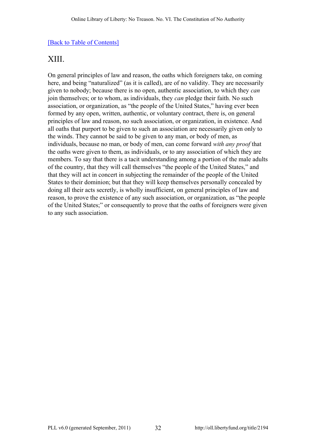# <span id="page-31-0"></span>XIII.

On general principles of law and reason, the oaths which foreigners take, on coming here, and being "naturalized" (as it is called), are of no validity. They are necessarily given to nobody; because there is no open, authentic association, to which they *can* join themselves; or to whom, as individuals, they *can* pledge their faith. No such association, or organization, as "the people of the United States," having ever been formed by any open, written, authentic, or voluntary contract, there is, on general principles of law and reason, no such association, or organization, in existence. And all oaths that purport to be given to such an association are necessarily given only to the winds. They cannot be said to be given to any man, or body of men, as individuals, because no man, or body of men, can come forward *with any proof* that the oaths were given to them, as individuals, or to any association of which they are members. To say that there is a tacit understanding among a portion of the male adults of the country, that they will call themselves "the people of the United States," and that they will act in concert in subjecting the remainder of the people of the United States to their dominion; but that they will keep themselves personally concealed by doing all their acts secretly, is wholly insufficient, on general principles of law and reason, to prove the existence of any such association, or organization, as "the people of the United States;" or consequently to prove that the oaths of foreigners were given to any such association.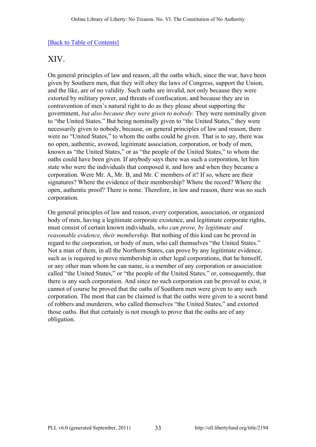# <span id="page-32-0"></span>XIV.

On general principles of law and reason, all the oaths which, since the war, have been given by Southern men, that they will obey the laws of Congress, support the Union, and the like, are of no validity. Such oaths are invalid, not only because they were extorted by military power, and threats of confiscation, and because they are in contravention of men's natural right to do as they please about supporting the government, *but also because they were given to nobody.* They were nominally given to "the United States." But being nominally given to "the United States," they were necessarily given to nobody, because, on general principles of law and reason, there were no "United States," to whom the oaths could be given. That is to say, there was no open, authentic, avowed, legitimate association, corporation, or body of men, known as "the United States," or as "the people of the United States," to whom the oaths could have been given. If anybody says there was such a corporation, let him state who were the individuals that composed it, and how and when they became a corporation. Were Mr. A, Mr. B, and Mr. C members of it? If so, where are their signatures? Where the evidence of their membership? Where the record? Where the open, authentic proof? There is none. Therefore, in law and reason, there was no such corporation.

On general principles of law and reason, every corporation, association, or organized body of men, having a legitimate corporate existence, and legitimate corporate rights, must consist of certain known individuals, *who can prove, by legitimate and reasonable evidence, their membership.* But nothing of this kind can be proved in regard to the corporation, or body of men, who call themselves "the United States." Not a man of them, in all the Northern States, can prove by any legitimate evidence, such as is required to prove membership in other legal corporations, that he himself, or any other man whom he can name, is a member of any corporation or association called "the United States," or "the people of the United States," or, consequently, that there is any such corporation. And since no such corporation can be proved to exist, it cannot of course be proved that the oaths of Southern men were given to any such corporation. The most that can be claimed is that the oaths were given to a secret band of robbers and murderers, who called themselves "the United States," and extorted those oaths. But that certainly is not enough to prove that the oaths are of any obligation.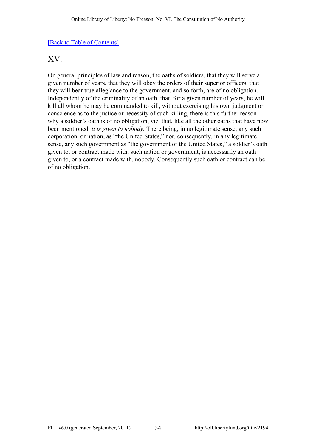### <span id="page-33-0"></span>XV.

On general principles of law and reason, the oaths of soldiers, that they will serve a given number of years, that they will obey the orders of their superior officers, that they will bear true allegiance to the government, and so forth, are of no obligation. Independently of the criminality of an oath, that, for a given number of years, he will kill all whom he may be commanded to kill, without exercising his own judgment or conscience as to the justice or necessity of such killing, there is this further reason why a soldier's oath is of no obligation, viz. that, like all the other oaths that have now been mentioned, *it is given to nobody.* There being, in no legitimate sense, any such corporation, or nation, as "the United States," nor, consequently, in any legitimate sense, any such government as "the government of the United States," a soldier's oath given to, or contract made with, such nation or government, is necessarily an oath given to, or a contract made with, nobody. Consequently such oath or contract can be of no obligation.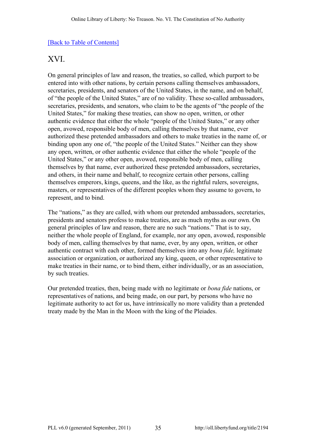# <span id="page-34-0"></span>XVI.

On general principles of law and reason, the treaties, so called, which purport to be entered into with other nations, by certain persons calling themselves ambassadors, secretaries, presidents, and senators of the United States, in the name, and on behalf, of "the people of the United States," are of no validity. These so-called ambassadors, secretaries, presidents, and senators, who claim to be the agents of "the people of the United States," for making these treaties, can show no open, written, or other authentic evidence that either the whole "people of the United States," or any other open, avowed, responsible body of men, calling themselves by that name, ever authorized these pretended ambassadors and others to make treaties in the name of, or binding upon any one of, "the people of the United States." Neither can they show any open, written, or other authentic evidence that either the whole "people of the United States," or any other open, avowed, responsible body of men, calling themselves by that name, ever authorized these pretended ambassadors, secretaries, and others, in their name and behalf, to recognize certain other persons, calling themselves emperors, kings, queens, and the like, as the rightful rulers, sovereigns, masters, or representatives of the different peoples whom they assume to govern, to represent, and to bind.

The "nations," as they are called, with whom our pretended ambassadors, secretaries, presidents and senators profess to make treaties, are as much myths as our own. On general principles of law and reason, there are no such "nations." That is to say, neither the whole people of England, for example, nor any open, avowed, responsible body of men, calling themselves by that name, ever, by any open, written, or other authentic contract with each other, formed themselves into any *bona fide,* legitimate association or organization, or authorized any king, queen, or other representative to make treaties in their name, or to bind them, either individually, or as an association, by such treaties.

Our pretended treaties, then, being made with no legitimate or *bona fide* nations, or representatives of nations, and being made, on our part, by persons who have no legitimate authority to act for us, have intrinsically no more validity than a pretended treaty made by the Man in the Moon with the king of the Pleiades.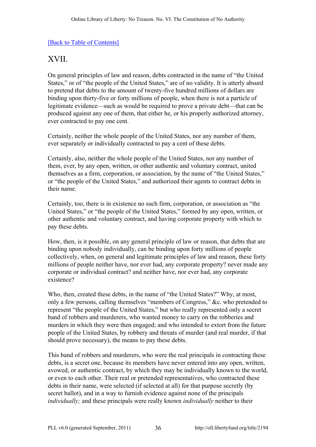# <span id="page-35-0"></span>XVII.

On general principles of law and reason, debts contracted in the name of "the United States," or of "the people of the United States," are of no validity. It is utterly absurd to pretend that debts to the amount of twenty-five hundred millions of dollars are binding upon thirty-five or forty millions of people, when there is not a particle of legitimate evidence—such as would be required to prove a private debt—that can be produced against any one of them, that either he, or his properly authorized attorney, ever contracted to pay one cent.

Certainly, neither the whole people of the United States, nor any number of them, ever separately or individually contracted to pay a cent of these debts.

Certainly, also, neither the whole people of the United States, nor any number of them, ever, by any open, written, or other authentic and voluntary contract, united themselves as a firm, corporation, or association, by the name of "the United States," or "the people of the United States," and authorized their agents to contract debts in their name.

Certainly, too, there is in existence no such firm, corporation, or association as "the United States," or "the people of the United States," formed by any open, written, or other authentic and voluntary contract, and having corporate property with which to pay these debts.

How, then, is it possible, on any general principle of law or reason, that debts that are binding upon nobody individually, can be binding upon forty millions of people collectively, when, on general and legitimate principles of law and reason, these forty millions of people neither have, nor ever had, any corporate property? never made any corporate or individual contract? and neither have, nor ever had, any corporate existence?

Who, then, created these debts, in the name of "the United States?" Why, at most, only a few persons, calling themselves "members of Congress," &c. who pretended to represent "the people of the United States," but who really represented only a secret band of robbers and murderers, who wanted money to carry on the robberies and murders in which they were then engaged; and who intended to extort from the future people of the United States, by robbery and threats of murder (and real murder, if that should prove necessary), the means to pay these debts.

This band of robbers and murderers, who were the real principals in contracting these debts, is a secret one, because its members have never entered into any open, written, avowed, or authentic contract, by which they may be individually known to the world, or even to each other. Their real or pretended representatives, who contracted these debts in their name, were selected (if selected at all) for that purpose secretly (by secret ballot), and in a way to furnish evidence against none of the principals *individually;* and these principals were really known *individually* neither to their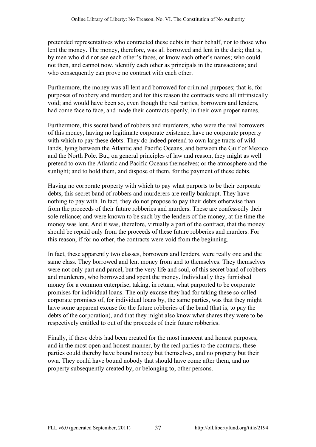pretended representatives who contracted these debts in their behalf, nor to those who lent the money. The money, therefore, was all borrowed and lent in the dark; that is, by men who did not see each other's faces, or know each other's names; who could not then, and cannot now, identify each other as principals in the transactions; and who consequently can prove no contract with each other.

Furthermore, the money was all lent and borrowed for criminal purposes; that is, for purposes of robbery and murder; and for this reason the contracts were all intrinsically void; and would have been so, even though the real parties, borrowers and lenders, had come face to face, and made their contracts openly, in their own proper names.

Furthermore, this secret band of robbers and murderers, who were the real borrowers of this money, having no legitimate corporate existence, have no corporate property with which to pay these debts. They do indeed pretend to own large tracts of wild lands, lying between the Atlantic and Pacific Oceans, and between the Gulf of Mexico and the North Pole. But, on general principles of law and reason, they might as well pretend to own the Atlantic and Pacific Oceans themselves; or the atmosphere and the sunlight; and to hold them, and dispose of them, for the payment of these debts.

Having no corporate property with which to pay what purports to be their corporate debts, this secret band of robbers and murderers are really bankrupt. They have nothing to pay with. In fact, they do not propose to pay their debts otherwise than from the proceeds of their future robberies and murders. These are confessedly their sole reliance; and were known to be such by the lenders of the money, at the time the money was lent. And it was, therefore, virtually a part of the contract, that the money should be repaid only from the proceeds of these future robberies and murders. For this reason, if for no other, the contracts were void from the beginning.

In fact, these apparently two classes, borrowers and lenders, were really one and the same class. They borrowed and lent money from and to themselves. They themselves were not only part and parcel, but the very life and soul, of this secret band of robbers and murderers, who borrowed and spent the money. Individually they furnished money for a common enterprise; taking, in return, what purported to be corporate promises for individual loans. The only excuse they had for taking these so-called corporate promises of, for individual loans by, the same parties, was that they might have some apparent excuse for the future robberies of the band (that is, to pay the debts of the corporation), and that they might also know what shares they were to be respectively entitled to out of the proceeds of their future robberies.

Finally, if these debts had been created for the most innocent and honest purposes, and in the most open and honest manner, by the real parties to the contracts, these parties could thereby have bound nobody but themselves, and no property but their own. They could have bound nobody that should have come after them, and no property subsequently created by, or belonging to, other persons.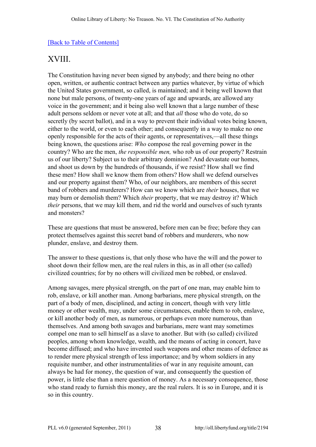# <span id="page-37-0"></span>XVIII.

The Constitution having never been signed by anybody; and there being no other open, written, or authentic contract between any parties whatever, by virtue of which the United States government, so called, is maintained; and it being well known that none but male persons, of twenty-one years of age and upwards, are allowed any voice in the government; and it being also well known that a large number of these adult persons seldom or never vote at all; and that *all* those who do vote, do so secretly (by secret ballot), and in a way to prevent their individual votes being known, either to the world, or even to each other; and consequently in a way to make no one openly responsible for the acts of their agents, or representatives,—all these things being known, the questions arise: *Who* compose the real governing power in the country? Who are the men, *the responsible men,* who rob us of our property? Restrain us of our liberty? Subject us to their arbitrary dominion? And devastate our homes, and shoot us down by the hundreds of thousands, if we resist? How shall we find these men? How shall we know them from others? How shall we defend ourselves and our property against them? Who, of our neighbors, are members of this secret band of robbers and murderers? How can we know which are *their* houses, that we may burn or demolish them? Which *their* property, that we may destroy it? Which *their* persons, that we may kill them, and rid the world and ourselves of such tyrants and monsters?

These are questions that must be answered, before men can be free; before they can protect themselves against this secret band of robbers and murderers, who now plunder, enslave, and destroy them.

The answer to these questions is, that only those who have the will and the power to shoot down their fellow men, are the real rulers in this, as in all other (so called) civilized countries; for by no others will civilized men be robbed, or enslaved.

Among savages, mere physical strength, on the part of one man, may enable him to rob, enslave, or kill another man. Among barbarians, mere physical strength, on the part of a body of men, disciplined, and acting in concert, though with very little money or other wealth, may, under some circumstances, enable them to rob, enslave, or kill another body of men, as numerous, or perhaps even more numerous, than themselves. And among both savages and barbarians, mere want may sometimes compel one man to sell himself as a slave to another. But with (so called) civilized peoples, among whom knowledge, wealth, and the means of acting in concert, have become diffused; and who have invented such weapons and other means of defence as to render mere physical strength of less importance; and by whom soldiers in any requisite number, and other instrumentalities of war in any requisite amount, can always be had for money, the question of war, and consequently the question of power, is little else than a mere question of money. As a necessary consequence, those who stand ready to furnish this money, are the real rulers. It is so in Europe, and it is so in this country.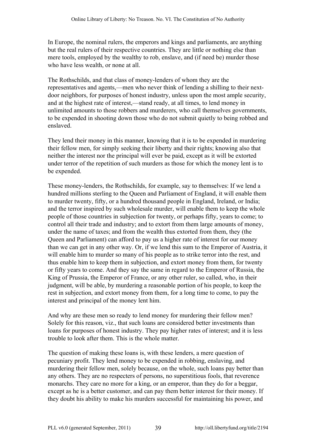In Europe, the nominal rulers, the emperors and kings and parliaments, are anything but the real rulers of their respective countries. They are little or nothing else than mere tools, employed by the wealthy to rob, enslave, and (if need be) murder those who have less wealth, or none at all.

The Rothschilds, and that class of money-lenders of whom they are the representatives and agents,—men who never think of lending a shilling to their nextdoor neighbors, for purposes of honest industry, unless upon the most ample security, and at the highest rate of interest,—stand ready, at all times, to lend money in unlimited amounts to those robbers and murderers, who call themselves governments, to be expended in shooting down those who do not submit quietly to being robbed and enslaved.

They lend their money in this manner, knowing that it is to be expended in murdering their fellow men, for simply seeking their liberty and their rights; knowing also that neither the interest nor the principal will ever be paid, except as it will be extorted under terror of the repetition of such murders as those for which the money lent is to be expended.

These money-lenders, the Rothschilds, for example, say to themselves: If we lend a hundred millions sterling to the Queen and Parliament of England, it will enable them to murder twenty, fifty, or a hundred thousand people in England, Ireland, or India; and the terror inspired by such wholesale murder, will enable them to keep the whole people of those countries in subjection for twenty, or perhaps fifty, years to come; to control all their trade and industry; and to extort from them large amounts of money, under the name of taxes; and from the wealth thus extorted from them, they (the Queen and Parliament) can afford to pay us a higher rate of interest for our money than we can get in any other way. Or, if we lend this sum to the Emperor of Austria, it will enable him to murder so many of his people as to strike terror into the rest, and thus enable him to keep them in subjection, and extort money from them, for twenty or fifty years to come. And they say the same in regard to the Emperor of Russia, the King of Prussia, the Emperor of France, or any other ruler, so called, who, in their judgment, will be able, by murdering a reasonable portion of his people, to keep the rest in subjection, and extort money from them, for a long time to come, to pay the interest and principal of the money lent him.

And why are these men so ready to lend money for murdering their fellow men? Solely for this reason, viz., that such loans are considered better investments than loans for purposes of honest industry. They pay higher rates of interest; and it is less trouble to look after them. This is the whole matter.

The question of making these loans is, with these lenders, a mere question of pecuniary profit. They lend money to be expended in robbing, enslaving, and murdering their fellow men, solely because, on the whole, such loans pay better than any others. They are no respecters of persons, no superstitious fools, that reverence monarchs. They care no more for a king, or an emperor, than they do for a beggar, except as he is a better customer, and can pay them better interest for their money. If they doubt his ability to make his murders successful for maintaining his power, and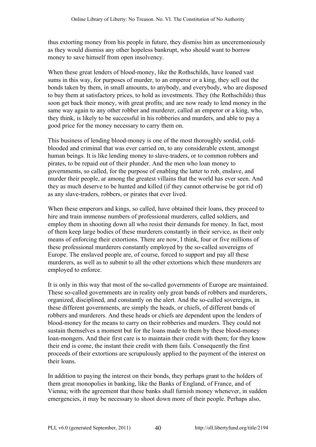thus extorting money from his people in future, they dismiss him as unceremoniously as they would dismiss any other hopeless bankrupt, who should want to borrow money to save himself from open insolvency.

When these great lenders of blood-money, like the Rothschilds, have loaned vast sums in this way, for purposes of murder, to an emperor or a king, they sell out the bonds taken by them, in small amounts, to anybody, and everybody, who are disposed to buy them at satisfactory prices, to hold as investments. They (the Rothschilds) thus soon get back their money, with great profits; and are now ready to lend money in the same way again to any other robber and murderer, called an emperor or a king, who, they think, is likely to be successful in his robberies and murders, and able to pay a good price for the money necessary to carry them on.

This business of lending blood-money is one of the most thoroughly sordid, coldblooded and criminal that was ever carried on, to any considerable extent, amongst human beings. It is like lending money to slave-traders, or to common robbers and pirates, to be repaid out of their plunder. And the men who loan money to governments, so called, for the purpose of enabling the latter to rob, enslave, and murder their people, ar among the greatest villains that the world has ever seen. And they as much deserve to be hunted and killed (if they cannot otherwise be got rid of) as any slave-traders, robbers, or pirates that ever lived.

When these emperors and kings, so called, have obtained their loans, they proceed to hire and train immense numbers of professional murderers, called soldiers, and employ them in shooting down all who resist their demands for money. In fact, most of them keep large bodies of these murderers constantly in their service, as their only means of enforcing their extortions. There are now, I think, four or five millions of these professional murderers constantly employed by the so-called sovereigns of Europe. The enslaved people are, of course, forced to support and pay all these murderers, as well as to submit to all the other extortions which these murderers are employed to enforce.

It is only in this way that most of the so-called governments of Europe are maintained. These so-called governments are in reality only great bands of robbers and murderers, organized, disciplined, and constantly on the alert. And the so-called sovereigns, in these different governments, are simply the heads, or chiefs, of different bands of robbers and murderers. And these heads or chiefs are dependent upon the lenders of blood-money for the means to carry on their robberies and murders. They could not sustain themselves a moment but for the loans made to them by these blood-money loan-mongers. And their first care is to maintain their credit with them; for they know their end is come, the instant their credit with them fails. Consequently the first proceeds of their extortions are scrupulously applied to the payment of the interest on their loans.

In addition to paying the interest on their bonds, they perhaps grant to the holders of them great monopolies in banking, like the Banks of England, of France, and of Vienna; with the agreement that these banks shall furnish money whenever, in sudden emergencies, it may be necessary to shoot down more of their people. Perhaps also,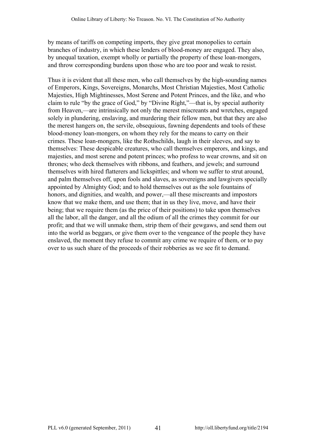by means of tariffs on competing imports, they give great monopolies to certain branches of industry, in which these lenders of blood-money are engaged. They also, by unequal taxation, exempt wholly or partially the property of these loan-mongers, and throw corresponding burdens upon those who are too poor and weak to resist.

Thus it is evident that all these men, who call themselves by the high-sounding names of Emperors, Kings, Sovereigns, Monarchs, Most Christian Majesties, Most Catholic Majesties, High Mightinesses, Most Serene and Potent Princes, and the like, and who claim to rule "by the grace of God," by "Divine Right,"—that is, by special authority from Heaven,—are intrinsically not only the merest miscreants and wretches, engaged solely in plundering, enslaving, and murdering their fellow men, but that they are also the merest hangers on, the servile, obsequious, fawning dependents and tools of these blood-money loan-mongers, on whom they rely for the means to carry on their crimes. These loan-mongers, like the Rothschilds, laugh in their sleeves, and say to themselves: These despicable creatures, who call themselves emperors, and kings, and majesties, and most serene and potent princes; who profess to wear crowns, and sit on thrones; who deck themselves with ribbons, and feathers, and jewels; and surround themselves with hired flatterers and lickspittles; and whom we suffer to strut around, and palm themselves off, upon fools and slaves, as sovereigns and lawgivers specially appointed by Almighty God; and to hold themselves out as the sole fountains of honors, and dignities, and wealth, and power,—all these miscreants and impostors know that we make them, and use them; that in us they live, move, and have their being; that we require them (as the price of their positions) to take upon themselves all the labor, all the danger, and all the odium of all the crimes they commit for our profit; and that we will unmake them, strip them of their gewgaws, and send them out into the world as beggars, or give them over to the vengeance of the people they have enslaved, the moment they refuse to commit any crime we require of them, or to pay over to us such share of the proceeds of their robberies as we see fit to demand.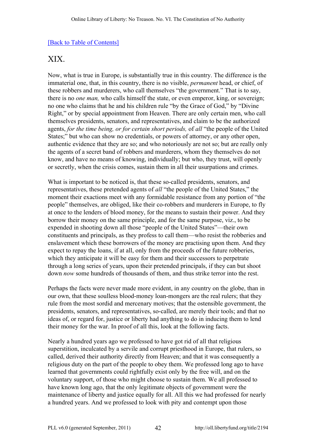# <span id="page-41-0"></span>XIX.

Now, what is true in Europe, is substantially true in this country. The difference is the immaterial one, that, in this country, there is no visible, *permanent* head, or chief, of these robbers and murderers, who call themselves "the government." That is to say, there is no *one man,* who calls himself the state, or even emperor, king, or sovereign; no one who claims that he and his children rule "by the Grace of God," by "Divine Right," or by special appointment from Heaven. There are only certain men, who call themselves presidents, senators, and representatives, and claim to be the authorized agents, *for the time being, or for certain short periods,* of *all* "the people of the United States;" but who can show no credentials, or powers of attorney, or any other open, authentic evidence that they are so; and who notoriously are not so; but are really only the agents of a secret band of robbers and murderers, whom they themselves do not know, and have no means of knowing, individually; but who, they trust, will openly or secretly, when the crisis comes, sustain them in all their usurpations and crimes.

What is important to be noticed is, that these so-called presidents, senators, and representatives, these pretended agents of *all* "the people of the United States," the moment their exactions meet with any formidable resistance from any portion of "the people" themselves, are obliged, like their co-robbers and murderers in Europe, to fly at once to the lenders of blood money, for the means to sustain their power. And they borrow their money on the same principle, and for the same purpose, viz., to be expended in shooting down all those "people of the United States"—their own constituents and principals, as they profess to call them—who resist the robberies and enslavement which these borrowers of the money are practising upon them. And they expect to repay the loans, if at all, only from the proceeds of the future robberies, which they anticipate it will be easy for them and their successors to perpetrate through a long series of years, upon their pretended principals, if they can but shoot down *now* some hundreds of thousands of them, and thus strike terror into the rest.

Perhaps the facts were never made more evident, in any country on the globe, than in our own, that these soulless blood-money loan-mongers are the real rulers; that they rule from the most sordid and mercenary motives; that the ostensible government, the presidents, senators, and representatives, so-called, are merely their tools; and that no ideas of, or regard for, justice or liberty had anything to do in inducing them to lend their money for the war. In proof of all this, look at the following facts.

Nearly a hundred years ago we professed to have got rid of all that religious superstition, inculcated by a servile and corrupt priesthood in Europe, that rulers, so called, derived their authority directly from Heaven; and that it was consequently a religious duty on the part of the people to obey them. We professed long ago to have learned that governments could rightfully exist only by the free will, and on the voluntary support, of those who might choose to sustain them. We all professed to have known long ago, that the only legitimate objects of government were the maintenance of liberty and justice equally for all. All this we had professed for nearly a hundred years. And we professed to look with pity and contempt upon those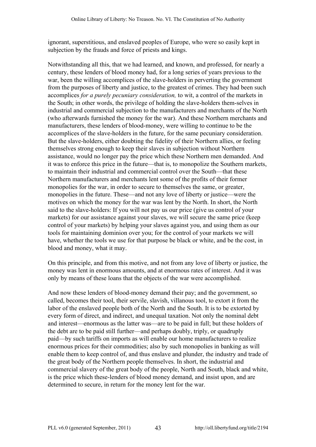ignorant, superstitious, and enslaved peoples of Europe, who were so easily kept in subjection by the frauds and force of priests and kings.

Notwithstanding all this, that we had learned, and known, and professed, for nearly a century, these lenders of blood money had, for a long series of years previous to the war, been the willing accomplices of the slave-holders in perverting the government from the purposes of liberty and justice, to the greatest of crimes. They had been such accomplices *for a purely pecuniary consideration,* to wit, a control of the markets in the South; in other words, the privilege of holding the slave-holders them-selves in industrial and commercial subjection to the manufacturers and merchants of the North (who afterwards furnished the money for the war). And these Northern merchants and manufacturers, these lenders of blood-money, were willing to continue to be the accomplices of the slave-holders in the future, for the same pecuniary consideration. But the slave-holders, either doubting the fidelity of their Northern allies, or feeling themselves strong enough to keep their slaves in subjection without Northern assistance, would no longer pay the price which these Northern men demanded. And it was to enforce this price in the future—that is, to monopolize the Southern markets, to maintain their industrial and commercial control over the South—that these Northern manufacturers and merchants lent some of the profits of their former monopolies for the war, in order to secure to themselves the same, or greater, monopolies in the future. These—and not any love of liberty or justice—were the motives on which the money for the war was lent by the North. In short, the North said to the slave-holders: If you will not pay us our price (give us control of your markets) for our assistance against your slaves, we will secure the same price (keep control of your markets) by helping your slaves against you, and using them as our tools for maintaining dominion over you; for the control of your markets we will have, whether the tools we use for that purpose be black or white, and be the cost, in blood and money, what it may.

On this principle, and from this motive, and not from any love of liberty or justice, the money was lent in enormous amounts, and at enormous rates of interest. And it was only by means of these loans that the objects of the war were accomplished.

And now these lenders of blood-money demand their pay; and the government, so called, becomes their tool, their servile, slavish, villanous tool, to extort it from the labor of the enslaved people both of the North and the South. It is to be extorted by every form of direct, and indirect, and unequal taxation. Not only the nominal debt and interest—enormous as the latter was—are to be paid in full; but these holders of the debt are to be paid still further—and perhaps doubly, triply, or quadruply paid—by such tariffs on imports as will enable our home manufacturers to realize enormous prices for their commodities; also by such monopolies in banking as will enable them to keep control of, and thus enslave and plunder, the industry and trade of the great body of the Northern people themselves. In short, the industrial and commercial slavery of the great body of the people, North and South, black and white, is the price which these-lenders of blood money demand, and insist upon, and are determined to secure, in return for the money lent for the war.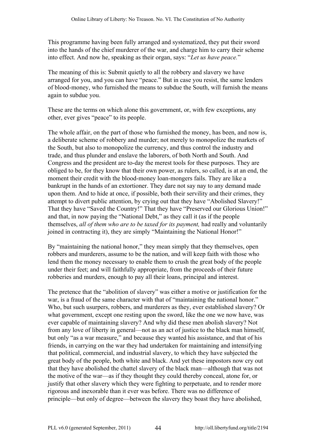This programme having been fully arranged and systematized, they put their sword into the hands of the chief murderer of the war, and charge him to carry their scheme into effect. And now he, speaking as their organ, says: "*Let us have peace.*"

The meaning of this is: Submit quietly to all the robbery and slavery we have arranged for you, and you can have "peace." But in case you resist, the same lenders of blood-money, who furnished the means to subdue the South, will furnish the means again to subdue you.

These are the terms on which alone this government, or, with few exceptions, any other, ever gives "peace" to its people.

The whole affair, on the part of those who furnished the money, has been, and now is, a deliberate scheme of robbery and murder; not merely to monopolize the markets of the South, but also to monopolize the currency, and thus control the industry and trade, and thus plunder and enslave the laborers, of both North and South. And Congress and the president are to-day the merest tools for these purposes. They are obliged to be, for they know that their own power, as rulers, so called, is at an end, the moment their credit with the blood-money loan-mongers fails. They are like a bankrupt in the hands of an extortioner. They dare not say nay to any demand made upon them. And to hide at once, if possible, both their servility and their crimes, they attempt to divert public attention, by crying out that they have "Abolished Slavery!" That they have "Saved the Country!" That they have "Preserved our Glorious Union!" and that, in now paying the "National Debt," as they call it (as if the people themselves, *all of them who are to be taxed for its payment,* had really and voluntarily joined in contracting it), they are simply "Maintaining the National Honor!"

By "maintaining the national honor," they mean simply that they themselves, open robbers and murderers, assume to be the nation, and will keep faith with those who lend them the money necessary to enable them to crush the great body of the people under their feet; and will faithfully appropriate, from the proceeds of their future robberies and murders, enough to pay all their loans, principal and interest.

The pretence that the "abolition of slavery" was either a motive or justification for the war, is a fraud of the same character with that of "maintaining the national honor." Who, but such usurpers, robbers, and murderers as they, ever established slavery? Or what government, except one resting upon the sword, like the one we now have, was ever capable of maintaining slavery? And why did these men abolish slavery? Not from any love of liberty in general—not as an act of justice to the black man himself, but only "as a war measure," and because they wanted his assistance, and that of his friends, in carrying on the war they had undertaken for maintaining and intensifying that political, commercial, and industrial slavery, to which they have subjected the great body of the people, both white and black. And yet these impostors now cry out that they have abolished the chattel slavery of the black man—although that was not the motive of the war—as if they thought they could thereby conceal, atone for, or justify that other slavery which they were fighting to perpetuate, and to render more rigorous and inexorable than it ever was before. There was no difference of principle—but only of degree—between the slavery they boast they have abolished,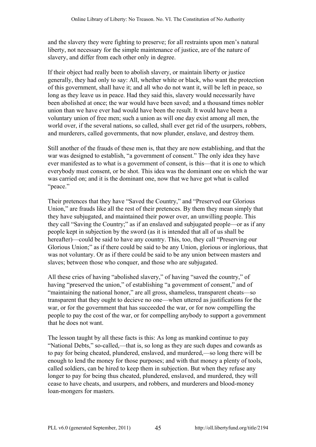and the slavery they were fighting to preserve; for all restraints upon men's natural liberty, not necessary for the simple maintenance of justice, are of the nature of slavery, and differ from each other only in degree.

If their object had really been to abolish slavery, or maintain liberty or justice generally, they had only to say: All, whether white or black, who want the protection of this government, shall have it; and all who do not want it, will be left in peace, so long as they leave us in peace. Had they said this, slavery would necessarily have been abolished at once; the war would have been saved; and a thousand times nobler union than we have ever had would have been the result. It would have been a voluntary union of free men; such a union as will one day exist among all men, the world over, if the several nations, so called, shall ever get rid of the usurpers, robbers, and murderers, called governments, that now plunder, enslave, and destroy them.

Still another of the frauds of these men is, that they are now establishing, and that the war was designed to establish, "a government of consent." The only idea they have ever manifested as to what is a government of consent, is this—that it is one to which everybody must consent, or be shot. This idea was the dominant one on which the war was carried on; and it is the dominant one, now that we have got what is called "peace."

Their pretences that they have "Saved the Country," and "Preserved our Glorious Union," are frauds like all the rest of their pretences. By them they mean simply that they have subjugated, and maintained their power over, an unwilling people. This they call "Saving the Country;" as if an enslaved and subjugated people—or as if any people kept in subjection by the sword (as it is intended that all of us shall be hereafter)—could be said to have any country. This, too, they call "Preserving our Glorious Union;" as if there could be said to be any Union, glorious or inglorious, that was not voluntary. Or as if there could be said to be any union between masters and slaves; between those who conquer, and those who are subjugated.

All these cries of having "abolished slavery," of having "saved the country," of having "preserved the union," of establishing "a government of consent," and of "maintaining the national honor," are all gross, shameless, transparent cheats—so transparent that they ought to decieve no one—when uttered as justifications for the war, or for the government that has succeeded the war, or for now compelling the people to pay the cost of the war, or for compelling anybody to support a government that he does not want.

The lesson taught by all these facts is this: As long as mankind continue to pay "National Debts," so-called,—that is, so long as they are such dupes and cowards as to pay for being cheated, plundered, enslaved, and murdered,—so long there will be enough to lend the money for those purposes; and with that money a plenty of tools, called soldiers, can be hired to keep them in subjection. But when they refuse any longer to pay for being thus cheated, plundered, enslaved, and murdered, they will cease to have cheats, and usurpers, and robbers, and murderers and blood-money loan-mongers for masters.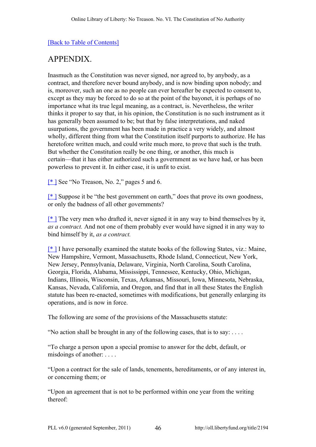# <span id="page-45-0"></span>APPENDIX.

Inasmuch as the Constitution was never signed, nor agreed to, by anybody, as a contract, and therefore never bound anybody, and is now binding upon nobody; and is, moreover, such an one as no people can ever hereafter be expected to consent to, except as they may be forced to do so at the point of the bayonet, it is perhaps of no importance what its true legal meaning, as a contract, is. Nevertheless, the writer thinks it proper to say that, in his opinion, the Constitution is no such instrument as it has generally been assumed to be; but that by false interpretations, and naked usurpations, the government has been made in practice a very widely, and almost wholly, different thing from what the Constitution itself purports to authorize. He has heretofore written much, and could write much more, to prove that such is the truth. But whether the Constitution really be one thing, or another, this much is certain—that it has either authorized such a government as we have had, or has been powerless to prevent it. In either case, it is unfit to exist.

<span id="page-45-1"></span>[\[\\* \]](#page-7-1) See "No Treason, No. 2," pages 5 and 6.

<span id="page-45-2"></span>[\[\\* \]](#page-10-0) Suppose it be "the best government on earth," does that prove its own goodness, or only the badness of all other governments?

<span id="page-45-3"></span> $[$ <sup>\*</sup> The very men who drafted it, never signed it in any way to bind themselves by it, *as a contract.* And not one of them probably ever would have signed it in any way to bind himself by it, *as a contract.*

<span id="page-45-4"></span> $[$ <sup>\*</sup> I have personally examined the statute books of the following States, viz.: Maine, New Hampshire, Vermont, Massachusetts, Rhode Island, Connecticut, New York, New Jersey, Pennsylvania, Delaware, Virginia, North Carolina, South Carolina, Georgia, Florida, Alabama, Mississippi, Tennessee, Kentucky, Ohio, Michigan, Indians, Illinois, Wisconsin, Texas, Arkansas, Missouri, Iowa, Minnesota, Nebraska, Kansas, Nevada, California, and Oregon, and find that in all these States the English statute has been re-enacted, sometimes with modifications, but generally enlarging its operations, and is now in force.

The following are some of the provisions of the Massachusetts statute:

"No action shall be brought in any of the following cases, that is to say: . . . .

"To charge a person upon a special promise to answer for the debt, default, or misdoings of another: . . . .

"Upon a contract for the sale of lands, tenements, hereditaments, or of any interest in, or concerning them; or

"Upon an agreement that is not to be performed within one year from the writing thereof: